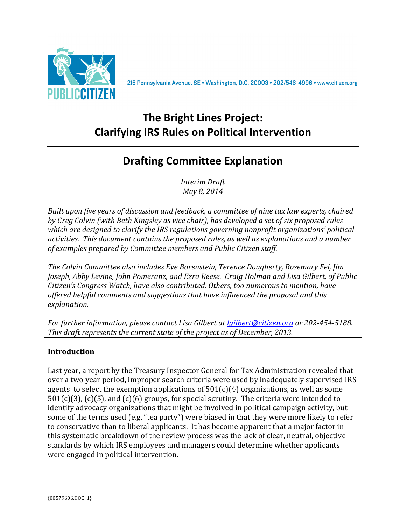

215 Pennsylvania Avenue, SE · Washington, D.C. 20003 · 202/546-4996 · www.citizen.org

# **The Bright Lines Project: Clarifying IRS Rules on Political Intervention**

# **Drafting Committee Explanation**

*Interim(Draft May 8, 2014* 

*Built upon five years of discussion and feedback, a committee of nine tax law experts, chaired by Greg Colvin (with Beth Kingsley as vice chair), has developed a set of six proposed rules which are designed to clarify the IRS regulations governing nonprofit organizations' political*  $a$ ctivities. This document contains the proposed rules, as well as explanations and a number  $of$  examples prepared by Committee members and Public Citizen staff.

*The Colvin Committee also includes Eve Borenstein, Terence Dougherty, Rosemary Fei, Jim* Joseph, Abby Levine, John Pomeranz, and Ezra Reese. Craig Holman and Lisa Gilbert, of Public *Citizen's Congress Watch, have also contributed. Others, too numerous to mention, have* offered helpful comments and suggestions that have influenced the proposal and this  $explanation.$ 

*For further information, please contact Lisa Gilbert at lgilbert@citizen.org or 202-454-5188. This draft represents the current state of the project as of December, 2013.* 

# **Introduction**

Last year, a report by the Treasury Inspector General for Tax Administration revealed that over a two year period, improper search criteria were used by inadequately supervised IRS agents to select the exemption applications of  $501(c)(4)$  organizations, as well as some  $501(c)(3)$ , (c)(5), and (c)(6) groups, for special scrutiny. The criteria were intended to identify advocacy organizations that might be involved in political campaign activity, but some of the terms used (e.g. "tea party") were biased in that they were more likely to refer to conservative than to liberal applicants. It has become apparent that a major factor in this systematic breakdown of the review process was the lack of clear, neutral, objective standards by which IRS employees and managers could determine whether applicants were engaged in political intervention.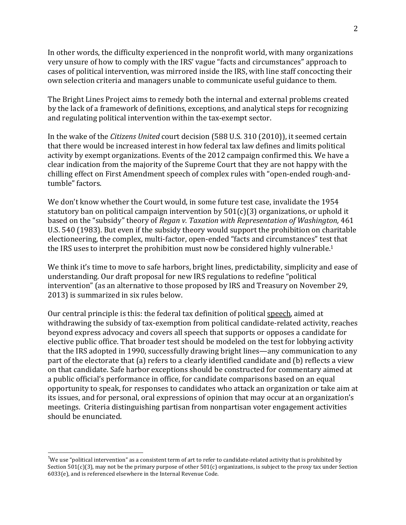In other words, the difficulty experienced in the nonprofit world, with many organizations very unsure of how to comply with the IRS' vague "facts and circumstances" approach to cases of political intervention, was mirrored inside the IRS, with line staff concocting their own selection criteria and managers unable to communicate useful guidance to them.

The Bright Lines Project aims to remedy both the internal and external problems created by the lack of a framework of definitions, exceptions, and analytical steps for recognizing and regulating political intervention within the tax-exempt sector.

In the wake of the *Citizens United* court decision (588 U.S. 310 (2010)), it seemed certain that there would be increased interest in how federal tax law defines and limits political activity by exempt organizations. Events of the 2012 campaign confirmed this. We have a clear indication from the majority of the Supreme Court that they are not happy with the chilling effect on First Amendment speech of complex rules with "open-ended rough-andtumble" factors.

We don't know whether the Court would, in some future test case, invalidate the 1954 statutory ban on political campaign intervention by  $501(c)(3)$  organizations, or uphold it based on the "subsidy" theory of *Regan v. Taxation with Representation of Washington*, 461 U.S. 540 (1983). But even if the subsidy theory would support the prohibition on charitable electioneering, the complex, multi-factor, open-ended "facts and circumstances" test that the IRS uses to interpret the prohibition must now be considered highly vulnerable.<sup>1</sup>

We think it's time to move to safe harbors, bright lines, predictability, simplicity and ease of understanding. Our draft proposal for new IRS regulations to redefine "political intervention" (as an alternative to those proposed by IRS and Treasury on November 29, 2013) is summarized in six rules below.

Our central principle is this: the federal tax definition of political speech, aimed at withdrawing the subsidy of tax-exemption from political candidate-related activity, reaches beyond express advocacy and covers all speech that supports or opposes a candidate for elective public office. That broader test should be modeled on the test for lobbying activity that the IRS adopted in 1990, successfully drawing bright lines—any communication to any part of the electorate that (a) refers to a clearly identified candidate and (b) reflects a view on that candidate. Safe harbor exceptions should be constructed for commentary aimed at a public official's performance in office, for candidate comparisons based on an equal opportunity to speak, for responses to candidates who attack an organization or take aim at its issues, and for personal, oral expressions of opinion that may occur at an organization's meetings. Criteria distinguishing partisan from nonpartisan voter engagement activities should be enunciated.

<sup>&</sup>lt;u>.</u><br><sup>1</sup>We use "political intervention" as a consistent term of art to refer to candidate-related activity that is prohibited by! Section  $501(c)(3)$ , may not be the primary purpose of other  $501(c)$  organizations, is subject to the proxy tax under Section  $6033(e)$ , and is referenced elsewhere in the Internal Revenue Code.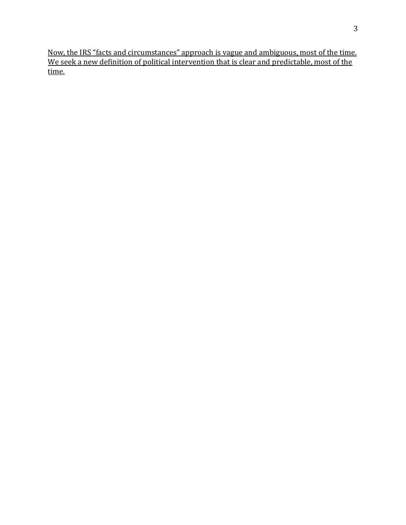Now, the IRS "facts and circumstances" approach is vague and ambiguous, most of the time. We seek a new definition of political intervention that is clear and predictable, most of the time.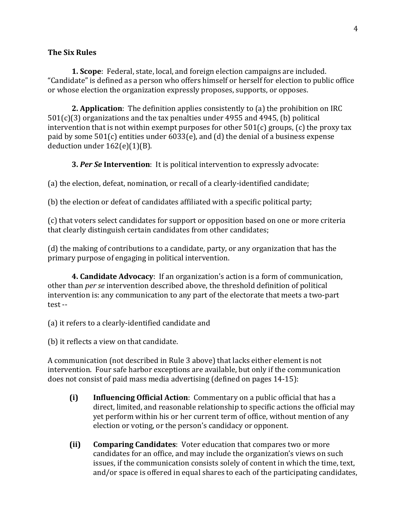#### **The Six Rules**

**1. Scope**: Federal, state, local, and foreign election campaigns are included. "Candidate" is defined as a person who offers himself or herself for election to public office or whose election the organization expressly proposes, supports, or opposes.

**2. Application**: The definition applies consistently to (a) the prohibition on IRC  $501(c)(3)$  organizations and the tax penalties under 4955 and 4945, (b) political intervention that is not within exempt purposes for other  $501(c)$  groups, (c) the proxy tax paid by some  $501(c)$  entities under  $6033(e)$ , and (d) the denial of a business expense deduction under  $162(e)(1)(B)$ .

**3. Per Se Intervention**: It is political intervention to expressly advocate:

(a) the election, defeat, nomination, or recall of a clearly-identified candidate;

(b) the election or defeat of candidates affiliated with a specific political party;

(c) that voters select candidates for support or opposition based on one or more criteria that clearly distinguish certain candidates from other candidates;

(d) the making of contributions to a candidate, party, or any organization that has the primary purpose of engaging in political intervention.

**4. Candidate Advocacy**: If an organization's action is a form of communication, other than *per se* intervention described above, the threshold definition of political intervention is: any communication to any part of the electorate that meets a two-part  $test -$ 

- (a) it refers to a clearly-identified candidate and
- (b) it reflects a view on that candidate.

A communication (not described in Rule 3 above) that lacks either element is not intervention. Four safe harbor exceptions are available, but only if the communication does not consist of paid mass media advertising (defined on pages 14-15):

- **(i) Influencing Official Action**: Commentary on a public official that has a direct, limited, and reasonable relationship to specific actions the official may yet perform within his or her current term of office, without mention of any election or voting, or the person's candidacy or opponent.
- **(ii) Comparing Candidates**: Voter education that compares two or more candidates for an office, and may include the organization's views on such issues, if the communication consists solely of content in which the time, text, and/or space is offered in equal shares to each of the participating candidates,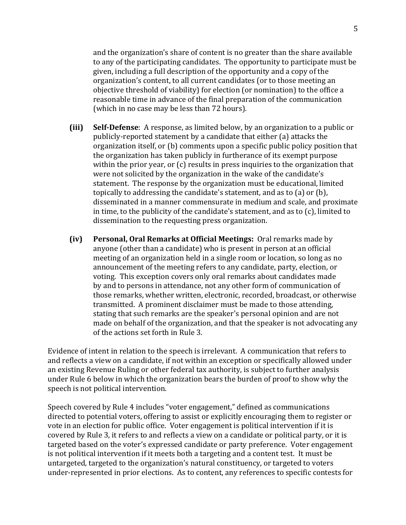and the organization's share of content is no greater than the share available to any of the participating candidates. The opportunity to participate must be given, including a full description of the opportunity and a copy of the organization's content, to all current candidates (or to those meeting an objective threshold of viability) for election (or nomination) to the office a reasonable time in advance of the final preparation of the communication (which in no case may be less than 72 hours).

- **(iii) Self-Defense**: A response, as limited below, by an organization to a public or publicly-reported statement by a candidate that either (a) attacks the organization itself, or (b) comments upon a specific public policy position that the organization has taken publicly in furtherance of its exempt purpose within the prior year, or  $(c)$  results in press inquiries to the organization that were not solicited by the organization in the wake of the candidate's statement. The response by the organization must be educational, limited topically to addressing the candidate's statement, and as to (a) or (b), disseminated in a manner commensurate in medium and scale, and proximate in time, to the publicity of the candidate's statement, and as to  $(c)$ , limited to dissemination to the requesting press organization.
- **(iv)** Personal, Oral Remarks at Official Meetings: Oral remarks made by anyone (other than a candidate) who is present in person at an official meeting of an organization held in a single room or location, so long as no announcement of the meeting refers to any candidate, party, election, or voting. This exception covers only oral remarks about candidates made by and to persons in attendance, not any other form of communication of those remarks, whether written, electronic, recorded, broadcast, or otherwise transmitted. A prominent disclaimer must be made to those attending, stating that such remarks are the speaker's personal opinion and are not made on behalf of the organization, and that the speaker is not advocating any of the actions set forth in Rule 3.

Evidence of intent in relation to the speech is irrelevant. A communication that refers to and reflects a view on a candidate, if not within an exception or specifically allowed under an existing Revenue Ruling or other federal tax authority, is subject to further analysis under Rule 6 below in which the organization bears the burden of proof to show why the speech is not political intervention.

Speech covered by Rule 4 includes "voter engagement," defined as communications directed to potential voters, offering to assist or explicitly encouraging them to register or vote in an election for public office. Voter engagement is political intervention if it is covered by Rule 3, it refers to and reflects a view on a candidate or political party, or it is targeted based on the voter's expressed candidate or party preference. Voter engagement is not political intervention if it meets both a targeting and a content test. It must be untargeted, targeted to the organization's natural constituency, or targeted to voters under-represented in prior elections. As to content, any references to specific contests for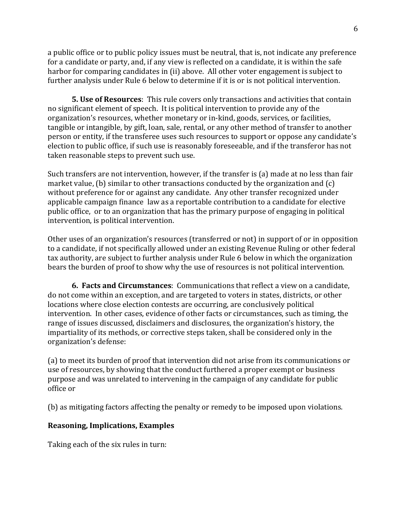a public office or to public policy issues must be neutral, that is, not indicate any preference for a candidate or party, and, if any view is reflected on a candidate, it is within the safe harbor for comparing candidates in (ii) above. All other voter engagement is subject to further analysis under Rule 6 below to determine if it is or is not political intervention.

**5. Use of Resources**: This rule covers only transactions and activities that contain no significant element of speech. It is political intervention to provide any of the organization's resources, whether monetary or in-kind, goods, services, or facilities, tangible or intangible, by gift, loan, sale, rental, or any other method of transfer to another person or entity, if the transferee uses such resources to support or oppose any candidate's election to public office, if such use is reasonably foreseeable, and if the transferor has not taken reasonable steps to prevent such use.

Such transfers are not intervention, however, if the transfer is (a) made at no less than fair market value, (b) similar to other transactions conducted by the organization and  $(c)$ without preference for or against any candidate. Any other transfer recognized under applicable campaign finance law as a reportable contribution to a candidate for elective public office, or to an organization that has the primary purpose of engaging in political intervention, is political intervention.

Other uses of an organization's resources (transferred or not) in support of or in opposition to a candidate, if not specifically allowed under an existing Revenue Ruling or other federal tax authority, are subject to further analysis under Rule 6 below in which the organization bears the burden of proof to show why the use of resources is not political intervention.

**6. Facts and Circumstances**: Communications that reflect a view on a candidate, do not come within an exception, and are targeted to voters in states, districts, or other locations where close election contests are occurring, are conclusively political intervention. In other cases, evidence of other facts or circumstances, such as timing, the range of issues discussed, disclaimers and disclosures, the organization's history, the impartiality of its methods, or corrective steps taken, shall be considered only in the organization's defense:

(a) to meet its burden of proof that intervention did not arise from its communications or use of resources, by showing that the conduct furthered a proper exempt or business purpose and was unrelated to intervening in the campaign of any candidate for public office!or

(b) as mitigating factors affecting the penalty or remedy to be imposed upon violations.

#### **Reasoning, Implications, Examples**

Taking each of the six rules in turn: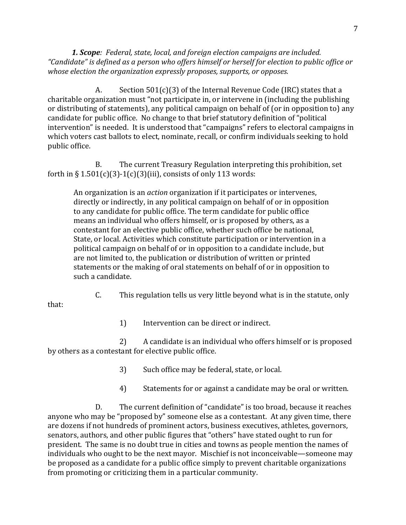**1. Scope**: Federal, state, local, and foreign election campaigns are included. "Candidate" is defined as a person who offers himself or herself for election to public office or *whose election the organization expressly proposes, supports, or opposes.* 

A. Section  $501(c)(3)$  of the Internal Revenue Code (IRC) states that a charitable organization must "not participate in, or intervene in (including the publishing or distributing of statements), any political campaign on behalf of (or in opposition to) any candidate for public office. No change to that brief statutory definition of "political intervention" is needed. It is understood that "campaigns" refers to electoral campaigns in which voters cast ballots to elect, nominate, recall, or confirm individuals seeking to hold public office.

B. The current Treasury Regulation interpreting this prohibition, set forth in §  $1.501(c)(3)-1(c)(3)(iii)$ , consists of only 113 words:

An organization is an *action* organization if it participates or intervenes, directly or indirectly, in any political campaign on behalf of or in opposition to any candidate for public office. The term candidate for public office means an individual who offers himself, or is proposed by others, as a contestant for an elective public office, whether such office be national, State, or local. Activities which constitute participation or intervention in a political campaign on behalf of or in opposition to a candidate include, but are not limited to, the publication or distribution of written or printed statements or the making of oral statements on behalf of or in opposition to such a candidate.

C. This regulation tells us very little beyond what is in the statute, only

that:

1) Intervention can be direct or indirect.

2) A candidate is an individual who offers himself or is proposed by others as a contestant for elective public office.

3) Such office may be federal, state, or local.

4) Statements for or against a candidate may be oral or written.

D. The current definition of "candidate" is too broad, because it reaches anyone who may be "proposed by" someone else as a contestant. At any given time, there are dozens if not hundreds of prominent actors, business executives, athletes, governors, senators, authors, and other public figures that "others" have stated ought to run for president. The same is no doubt true in cities and towns as people mention the names of individuals who ought to be the next mayor. Mischief is not inconceivable—someone may be proposed as a candidate for a public office simply to prevent charitable organizations from promoting or criticizing them in a particular community.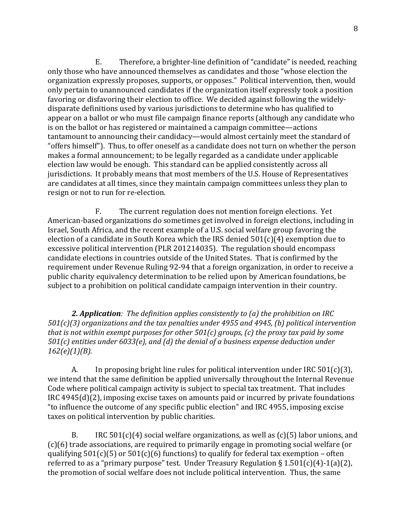E. Therefore, a brighter-line definition of "candidate" is needed, reaching only those who have announced themselves as candidates and those "whose election the organization expressly proposes, supports, or opposes." Political intervention, then, would only pertain to unannounced candidates if the organization itself expressly took a position favoring or disfavoring their election to office. We decided against following the widelydisparate definitions used by various jurisdictions to determine who has qualified to appear on a ballot or who must file campaign finance reports (although any candidate who is on the ballot or has registered or maintained a campaign committee—actions tantamount to announcing their candidacy—would almost certainly meet the standard of "offers himself"). Thus, to offer oneself as a candidate does not turn on whether the person makes a formal announcement; to be legally regarded as a candidate under applicable election law would be enough. This standard can be applied consistently across all jurisdictions. It probably means that most members of the U.S. House of Representatives are candidates at all times, since they maintain campaign committees unless they plan to resign or not to run for re-election.

F. The current regulation does not mention foreign elections. Yet American-based organizations do sometimes get involved in foreign elections, including in Israel, South Africa, and the recent example of a U.S. social welfare group favoring the election of a candidate in South Korea which the IRS denied  $501(c)(4)$  exemption due to excessive political intervention (PLR 201214035). The regulation should encompass candidate elections in countries outside of the United States. That is confirmed by the requirement under Revenue Ruling 92-94 that a foreign organization, in order to receive a public charity equivalency determination to be relied upon by American foundations, be subject to a prohibition on political candidate campaign intervention in their country.

**2. Application**: The definition applies consistently to (a) the prohibition on IRC *501(c)(3)* organizations and the tax penalties under 4955 and 4945, (b) political intervention *that is not within exempt purposes for other 501(c) groups, (c) the proxy tax paid by some 501(c)* entities under 6033(e), and (d) the denial of a business expense deduction under *162(e)(1)(B).*

A. In proposing bright line rules for political intervention under IRC  $501(c)(3)$ , we intend that the same definition be applied universally throughout the Internal Revenue Code where political campaign activity is subject to special tax treatment. That includes  $IRC$  4945(d)(2), imposing excise taxes on amounts paid or incurred by private foundations "to influence the outcome of any specific public election" and IRC 4955, imposing excise taxes on political intervention by public charities.

B. IRC  $501(c)(4)$  social welfare organizations, as well as  $(c)(5)$  labor unions, and  $(c)(6)$  trade associations, are required to primarily engage in promoting social welfare (or qualifying  $501(c)(5)$  or  $501(c)(6)$  functions) to qualify for federal tax exemption – often referred to as a "primary purpose" test. Under Treasury Regulation §  $1.501(c)(4)$ -1(a)(2), the promotion of social welfare does not include political intervention. Thus, the same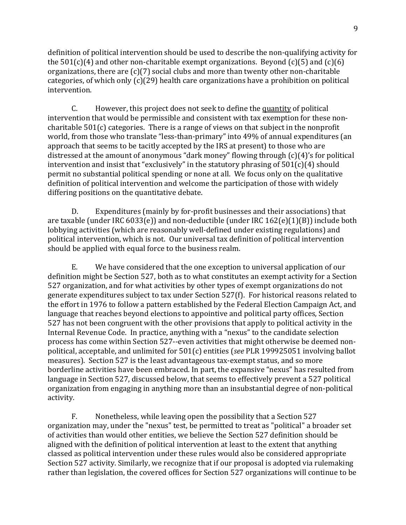definition of political intervention should be used to describe the non-qualifying activity for the  $501(c)(4)$  and other non-charitable exempt organizations. Beyond  $(c)(5)$  and  $(c)(6)$ organizations, there are  $(c)(7)$  social clubs and more than twenty other non-charitable categories, of which only  $(c)(29)$  health care organizations have a prohibition on political intervention.

C. However, this project does not seek to define the quantity of political intervention that would be permissible and consistent with tax exemption for these noncharitable  $501(c)$  categories. There is a range of views on that subject in the nonprofit world, from those who translate "less-than-primary" into 49% of annual expenditures (an approach that seems to be tacitly accepted by the IRS at present) to those who are distressed at the amount of anonymous "dark money" flowing through  $(c)(4)$ 's for political intervention and insist that "exclusively" in the statutory phrasing of  $501(c)(4)$  should permit no substantial political spending or none at all. We focus only on the qualitative definition of political intervention and welcome the participation of those with widely differing positions on the quantitative debate.

D. Expenditures (mainly by for-profit businesses and their associations) that are taxable (under IRC 6033(e)) and non-deductible (under IRC  $162(e)(1)(B)$ ) include both lobbying activities (which are reasonably well-defined under existing regulations) and political intervention, which is not. Our universal tax definition of political intervention should be applied with equal force to the business realm.

E. We have considered that the one exception to universal application of our definition might be Section 527, both as to what constitutes an exempt activity for a Section 527 organization, and for what activities by other types of exempt organizations do not generate expenditures subject to tax under Section 527(f). For historical reasons related to the effort in 1976 to follow a pattern established by the Federal Election Campaign Act, and language that reaches beyond elections to appointive and political party offices, Section 527 has not been congruent with the other provisions that apply to political activity in the Internal Revenue Code. In practice, anything with a "nexus" to the candidate selection process has come within Section 527--even activities that might otherwise be deemed nonpolitical, acceptable, and unlimited for 501(c) entities (*see* PLR 199925051 involving ballot measures). Section 527 is the least advantageous tax-exempt status, and so more borderline activities have been embraced. In part, the expansive "nexus" has resulted from language in Section 527, discussed below, that seems to effectively prevent a 527 political organization from engaging in anything more than an insubstantial degree of non-political activity.

F. Nonetheless, while leaving open the possibility that a Section 527 organization may, under the "nexus" test, be permitted to treat as "political" a broader set of activities than would other entities, we believe the Section 527 definition should be aligned with the definition of political intervention at least to the extent that anything classed as political intervention under these rules would also be considered appropriate Section 527 activity. Similarly, we recognize that if our proposal is adopted via rulemaking rather than legislation, the covered offices for Section 527 organizations will continue to be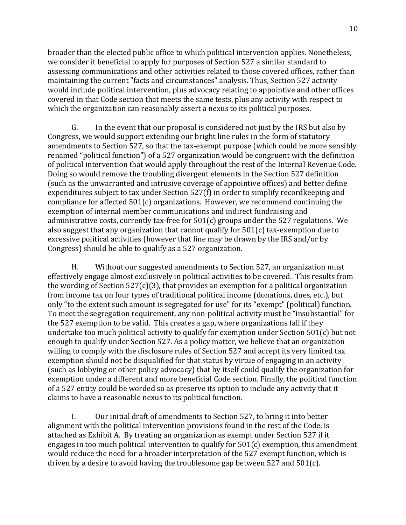broader than the elected public office to which political intervention applies. Nonetheless, we consider it beneficial to apply for purposes of Section 527 a similar standard to assessing communications and other activities related to those covered offices, rather than maintaining the current "facts and circumstances" analysis. Thus, Section 527 activity would include political intervention, plus advocacy relating to appointive and other offices covered in that Code section that meets the same tests, plus any activity with respect to which the organization can reasonably assert a nexus to its political purposes.

G. In the event that our proposal is considered not just by the IRS but also by Congress, we would support extending our bright line rules in the form of statutory amendments to Section 527, so that the tax-exempt purpose (which could be more sensibly renamed "political function") of a 527 organization would be congruent with the definition of political intervention that would apply throughout the rest of the Internal Revenue Code. Doing so would remove the troubling divergent elements in the Section 527 definition (such as the unwarranted and intrusive coverage of appointive offices) and better define expenditures subject to tax under Section 527(f) in order to simplify recordkeeping and compliance for affected  $501(c)$  organizations. However, we recommend continuing the exemption of internal member communications and indirect fundraising and administrative costs, currently tax-free for  $501(c)$  groups under the 527 regulations. We also suggest that any organization that cannot qualify for  $501(c)$  tax-exemption due to excessive political activities (however that line may be drawn by the IRS and/or by Congress) should be able to qualify as a 527 organization.

H. Without our suggested amendments to Section 527, an organization must effectively engage almost exclusively in political activities to be covered. This results from the wording of Section  $527(c)(3)$ , that provides an exemption for a political organization from income tax on four types of traditional political income (donations, dues, etc.), but only "to the extent such amount is segregated for use" for its "exempt" (political) function. To meet the segregation requirement, any non-political activity must be "insubstantial" for the 527 exemption to be valid. This creates a gap, where organizations fall if they undertake too much political activity to qualify for exemption under Section  $501(c)$  but not enough to qualify under Section 527. As a policy matter, we believe that an organization willing to comply with the disclosure rules of Section 527 and accept its very limited tax exemption should not be disqualified for that status by virtue of engaging in an activity (such as lobbying or other policy advocacy) that by itself could qualify the organization for exemption under a different and more beneficial Code section. Finally, the political function of a 527 entity could be worded so as preserve its option to include any activity that it claims to have a reasonable nexus to its political function.

I. Our initial draft of amendments to Section 527, to bring it into better alignment with the political intervention provisions found in the rest of the Code, is attached as Exhibit A. By treating an organization as exempt under Section 527 if it engages in too much political intervention to qualify for  $501(c)$  exemption, this amendment would reduce the need for a broader interpretation of the 527 exempt function, which is driven by a desire to avoid having the troublesome gap between  $527$  and  $501(c)$ .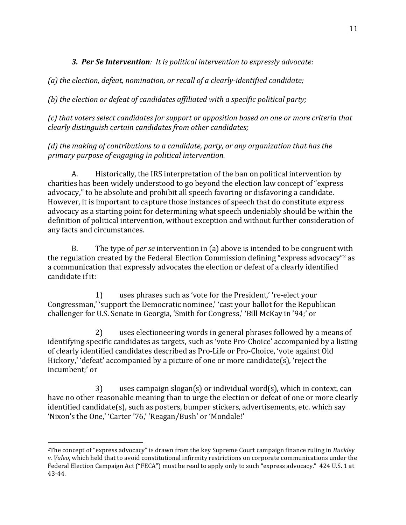# **3. Per Se Intervention**: It is political intervention to expressly advocate:

(a) the election, defeat, nomination, or recall of a clearly-identified candidate;

(b) the election or defeat of candidates affiliated with a specific political party;

 $(c)$  that voters select candidates for support or opposition based on one or more criteria that *clearly(distinguish(certain(candidates(from(other(candidates;*

*(d)* the making of contributions to a candidate, party, or any organization that has the primary purpose of engaging in political intervention.

A. Historically, the IRS interpretation of the ban on political intervention by charities has been widely understood to go beyond the election law concept of "express" advocacy," to be absolute and prohibit all speech favoring or disfavoring a candidate. However, it is important to capture those instances of speech that do constitute express advocacy as a starting point for determining what speech undeniably should be within the definition of political intervention, without exception and without further consideration of any facts and circumstances.

B. The type of *per se* intervention in (a) above is intended to be congruent with the regulation created by the Federal Election Commission defining "express advocacy"<sup>2</sup> as a communication that expressly advocates the election or defeat of a clearly identified candidate if it:

1) uses phrases such as 'vote for the President,' 're-elect your Congressman,' 'support the Democratic nominee,' 'cast your ballot for the Republican challenger for U.S. Senate in Georgia, 'Smith for Congress,' 'Bill McKay in '94;' or

2) uses electioneering words in general phrases followed by a means of identifying specific candidates as targets, such as 'vote Pro-Choice' accompanied by a listing of clearly identified candidates described as Pro-Life or Pro-Choice, 'vote against Old Hickory,' 'defeat' accompanied by a picture of one or more candidate(s), 'reject the incumbent;' or

3) uses campaign slogan(s) or individual word(s), which in context, can have no other reasonable meaning than to urge the election or defeat of one or more clearly identified candidate(s), such as posters, bumper stickers, advertisements, etc. which say 'Nixon's the One,' 'Carter '76,' 'Reagan/Bush' or 'Mondale!'

!!!!!!!!!!!!!!!!!!!!!!!!!!!!!!!!!!!!!!!!!!!!!!!!!!!!!!!

<sup>&</sup>lt;sup>2</sup>The concept of "express advocacy" is drawn from the key Supreme Court campaign finance ruling in *Buckley v. Valeo*, which held that to avoid constitutional infirmity restrictions on corporate communications under the Federal Election Campaign Act ("FECA") must be read to apply only to such "express advocacy." 424 U.S. 1 at 43-44.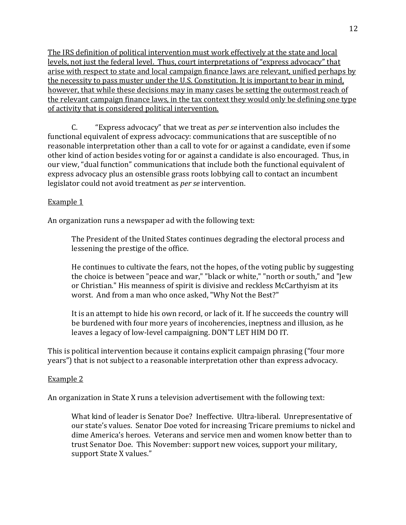The IRS definition of political intervention must work effectively at the state and local levels, not just the federal level. Thus, court interpretations of "express advocacy" that arise with respect to state and local campaign finance laws are relevant, unified perhaps by the necessity to pass muster under the U.S. Constitution. It is important to bear in mind, however, that while these decisions may in many cases be setting the outermost reach of the relevant campaign finance laws, in the tax context they would only be defining one type of activity that is considered political intervention.

C. "Express advocacy" that we treat as *per se* intervention also includes the functional equivalent of express advocacy: communications that are susceptible of no reasonable interpretation other than a call to vote for or against a candidate, even if some other kind of action besides voting for or against a candidate is also encouraged. Thus, in our view, "dual function" communications that include both the functional equivalent of express advocacy plus an ostensible grass roots lobbying call to contact an incumbent legislator could not avoid treatment as *per se* intervention.

### Example 1

An organization runs a newspaper ad with the following text:

The President of the United States continues degrading the electoral process and lessening the prestige of the office.

He continues to cultivate the fears, not the hopes, of the voting public by suggesting the choice is between "peace and war," "black or white," "north or south," and "Jew or Christian." His meanness of spirit is divisive and reckless McCarthyism at its worst. And from a man who once asked, "Why Not the Best?"

It is an attempt to hide his own record, or lack of it. If he succeeds the country will be burdened with four more years of incoherencies, ineptness and illusion, as he leaves a legacy of low-level campaigning. DON'T LET HIM DO IT.

This is political intervention because it contains explicit campaign phrasing ("four more years") that is not subject to a reasonable interpretation other than express advocacy.

# Example 2

An organization in State X runs a television advertisement with the following text:

What kind of leader is Senator Doe? Ineffective. Ultra-liberal. Unrepresentative of our state's values. Senator Doe voted for increasing Tricare premiums to nickel and dime America's heroes. Veterans and service men and women know better than to trust Senator Doe. This November: support new voices, support your military, support State X values."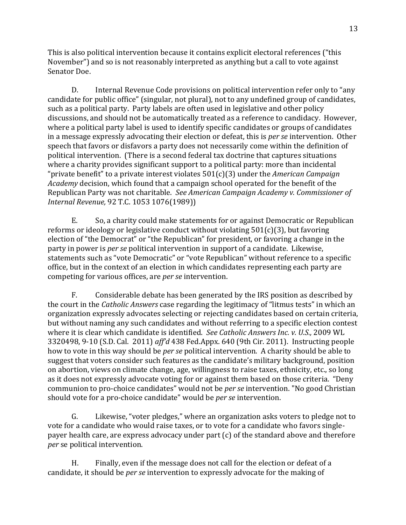This is also political intervention because it contains explicit electoral references ("this") November") and so is not reasonably interpreted as anything but a call to vote against Senator Doe.

D. Internal Revenue Code provisions on political intervention refer only to "any" candidate for public office" (singular, not plural), not to any undefined group of candidates, such as a political party. Party labels are often used in legislative and other policy discussions, and should not be automatically treated as a reference to candidacy. However, where a political party label is used to identify specific candidates or groups of candidates in a message expressly advocating their election or defeat, this is *per se* intervention. Other speech that favors or disfavors a party does not necessarily come within the definition of political intervention. (There is a second federal tax doctrine that captures situations where a charity provides significant support to a political party: more than incidental "private benefit" to a private interest violates 501(c)(3) under the *American Campaign Academy* decision, which found that a campaign school operated for the benefit of the Republican Party was not charitable. See American Campaign Academy v. Commissioner of *Internal Revenue, 92 T.C.* 1053 1076(1989))

E. So, a charity could make statements for or against Democratic or Republican reforms or ideology or legislative conduct without violating  $501(c)(3)$ , but favoring election of "the Democrat" or "the Republican" for president, or favoring a change in the party in power is *per se* political intervention in support of a candidate. Likewise, statements such as "vote Democratic" or "vote Republican" without reference to a specific office, but in the context of an election in which candidates representing each party are competing for various offices, are *per se* intervention.

F. Considerable debate has been generated by the IRS position as described by the court in the *Catholic Answers* case regarding the legitimacy of "litmus tests" in which an organization expressly advocates selecting or rejecting candidates based on certain criteria, but without naming any such candidates and without referring to a specific election contest where it is clear which candidate is identified. *See Catholic Answers Inc. v. U.S.*, 2009 WL 3320498, 9-10 (S.D. Cal. 2011) *aff'd* 438 Fed.Appx. 640 (9th Cir. 2011). Instructing people how to vote in this way should be *per se* political intervention. A charity should be able to suggest that voters consider such features as the candidate's military background, position on abortion, views on climate change, age, willingness to raise taxes, ethnicity, etc., so long as it does not expressly advocate voting for or against them based on those criteria. "Deny communion to pro-choice candidates" would not be *per se* intervention. "No good Christian should vote for a pro-choice candidate" would be *per se* intervention.

G. Likewise, "voter pledges," where an organization asks voters to pledge not to vote for a candidate who would raise taxes, or to vote for a candidate who favors singlepayer health care, are express advocacy under part  $(c)$  of the standard above and therefore *per* se political intervention.

H. Finally, even if the message does not call for the election or defeat of a candidate, it should be *per se* intervention to expressly advocate for the making of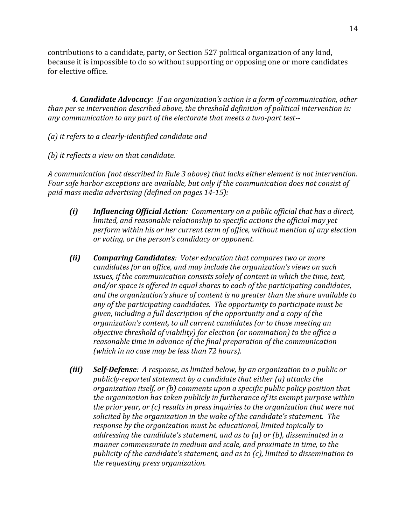contributions to a candidate, party, or Section 527 political organization of any kind, because it is impossible to do so without supporting or opposing one or more candidates for elective office.

**4. Candidate Advocacy**: If an organization's action is a form of communication, other than per se intervention described above, the threshold definition of political intervention is: any communication to any part of the electorate that meets a two-part test--

(a) it refers to a clearly-identified candidate and

*(b)* it reflects a view on that candidate.

A communication (not described in Rule 3 above) that lacks either element is not intervention. Four safe harbor exceptions are available, but only if the communication does not consist of paid mass media advertising (defined on pages 14-15):

- *(i)* **Influencing Official Action**: Commentary on a public official that has a direct, *limited, and reasonable relationship to specific actions the official may yet* perform within his or her current term of office, without mention of any election or voting, or the person's candidacy or opponent.
- *(ii) Comparing Candidates: Voter education that compares two or more*  $c$ andidates for an office, and may include the organization's views on such *issues, if the communication consists solely of content in which the time, text,* and/or space is offered in equal shares to each of the participating candidates, and the organization's share of content is no greater than the share available to any of the participating candidates. The opportunity to participate must be  $g$ *iven, including a full description of the opportunity and a copy of the organization's content, to all current candidates (or to those meeting an objective threshold of viability) for election (or nomination) to the office a* reasonable time in advance of the final preparation of the communication *(which in no case may be less than 72 hours).*
- *(iii)* **Self-Defense**: A response, as limited below, by an organization to a public or *publicly-reported statement by a candidate that either (a) attacks the organization itself, or (b) comments upon a specific public policy position that* the organization has taken publicly in furtherance of its exempt purpose within *the prior year, or (c) results in press inquiries to the organization that were not* solicited by the organization in the wake of the candidate's statement. The response by the organization must be educational, limited topically to *addressing the candidate's statement, and as to (a) or (b), disseminated in a* manner commensurate in medium and scale, and proximate in time, to the publicity of the candidate's statement, and as to (c), limited to dissemination to *the requesting press organization.*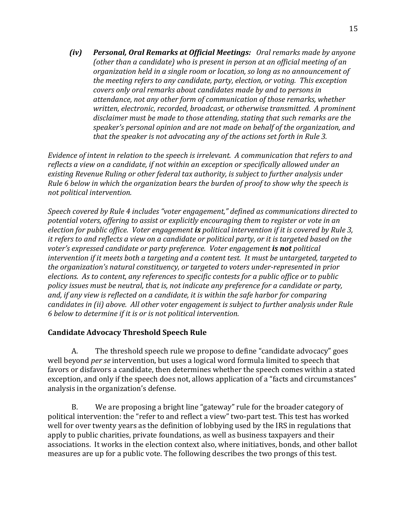*(iv) Personal, Oral Remarks at Official Meetings: Oral remarks made by anyone* (other than a candidate) who is present in person at an official meeting of an *organization(held(in(a(single(room(or(location,(so(long(as(no(announcement of( the(meeting(refers(to(any(candidate,(party,(election,(or(voting. (This(exception( covers(only(oral(remarks(about(candidates(made(by and(to persons(in(* attendance, not any other form of communication of those remarks, whether *written, electronic, recorded, broadcast, or otherwise transmitted. A prominent disclaimer(must(be(made(to(those(attending,(stating(that(such(remarks(are(the( speaker's personal(opinion(and(are(not(made(on(behalf(of(the(organization,(and(* that the speaker is not advocating any of the actions set forth in Rule 3.

*Evidence of intent in relation to the speech is irrelevant. A communication that refers to and* reflects a view on a candidate, if not within an exception or specifically allowed under an *existing Revenue Ruling or other federal tax authority, is subject to further analysis under Rule 6 below in which the organization bears the burden of proof to show why the speech is not political intervention.* 

Speech covered by Rule 4 includes "voter engagement," defined as communications directed to potential voters, offering to assist or explicitly encouraging them to register or vote in an *election for public office. Voter engagement is political intervention if it is covered by Rule 3, it refers to and reflects a view on a candidate or political party, or it is targeted based on the voter's expressed candidate or party preference. Voter engagement is not political intervention if it meets both a targeting and a content test. It must be untargeted, targeted to* the organization's natural constituency, or targeted to voters under-represented in prior *elections. As to content, any references to specific contests for a public office or to public* policy issues must be neutral, that is, not indicate any preference for a candidate or party, and, if any view is reflected on a candidate, it is within the safe harbor for comparing  $c$ andidates in (ii) above. All other voter engagement is subject to further analysis under Rule  $6$  below to determine if it is or is not political intervention.

#### **Candidate Advocacy Threshold Speech Rule**

A. The threshold speech rule we propose to define "candidate advocacy" goes well beyond *per se* intervention, but uses a logical word formula limited to speech that favors or disfavors a candidate, then determines whether the speech comes within a stated exception, and only if the speech does not, allows application of a "facts and circumstances" analysis in the organization's defense.

B. We are proposing a bright line "gateway" rule for the broader category of political intervention: the "refer to and reflect a view" two-part test. This test has worked well for over twenty years as the definition of lobbying used by the IRS in regulations that apply to public charities, private foundations, as well as business taxpayers and their associations. It works in the election context also, where initiatives, bonds, and other ballot measures are up for a public vote. The following describes the two prongs of this test.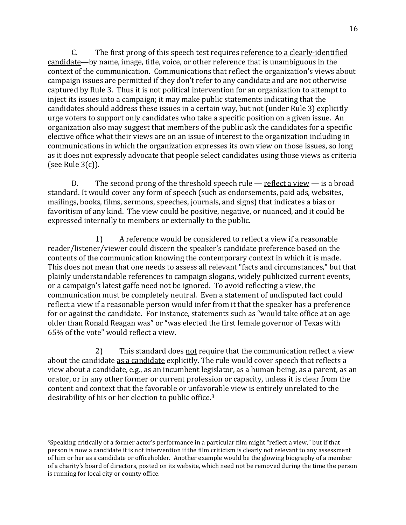C. The first prong of this speech test requires reference to a clearly-identified candidate—by name, image, title, voice, or other reference that is unambiguous in the context of the communication. Communications that reflect the organization's views about campaign issues are permitted if they don't refer to any candidate and are not otherwise captured by Rule 3. Thus it is not political intervention for an organization to attempt to inject its issues into a campaign; it may make public statements indicating that the candidates should address these issues in a certain way, but not (under Rule 3) explicitly urge voters to support only candidates who take a specific position on a given issue. An organization also may suggest that members of the public ask the candidates for a specific elective office what their views are on an issue of interest to the organization including in communications in which the organization expresses its own view on those issues, so long as it does not expressly advocate that people select candidates using those views as criteria (see Rule  $3(c)$ ).

D. The second prong of the threshold speech rule — reflect a view — is a broad standard. It would cover any form of speech (such as endorsements, paid ads, websites, mailings, books, films, sermons, speeches, journals, and signs) that indicates a bias or favoritism of any kind. The view could be positive, negative, or nuanced, and it could be expressed internally to members or externally to the public.

1) A reference would be considered to reflect a view if a reasonable reader/listener/viewer could discern the speaker's candidate preference based on the contents of the communication knowing the contemporary context in which it is made. This does not mean that one needs to assess all relevant "facts and circumstances," but that plainly understandable references to campaign slogans, widely publicized current events, or a campaign's latest gaffe need not be ignored. To avoid reflecting a view, the communication must be completely neutral. Even a statement of undisputed fact could reflect a view if a reasonable person would infer from it that the speaker has a preference for or against the candidate. For instance, statements such as "would take office at an age older than Ronald Reagan was" or "was elected the first female governor of Texas with 65% of the vote" would reflect a view.

2) This standard does not require that the communication reflect a view about the candidate as a candidate explicitly. The rule would cover speech that reflects a view about a candidate, e.g., as an incumbent legislator, as a human being, as a parent, as an orator, or in any other former or current profession or capacity, unless it is clear from the content and context that the favorable or unfavorable view is entirely unrelated to the desirability of his or her election to public office. $3$ 

!!!!!!!!!!!!!!!!!!!!!!!!!!!!!!!!!!!!!!!!!!!!!!!!!!!!!!!

<sup>&</sup>lt;sup>3</sup>Speaking critically of a former actor's performance in a particular film might "reflect a view," but if that person is now a candidate it is not intervention if the film criticism is clearly not relevant to any assessment of him or her as a candidate or officeholder. Another example would be the glowing biography of a member of a charity's board of directors, posted on its website, which need not be removed during the time the person is running for local city or county office.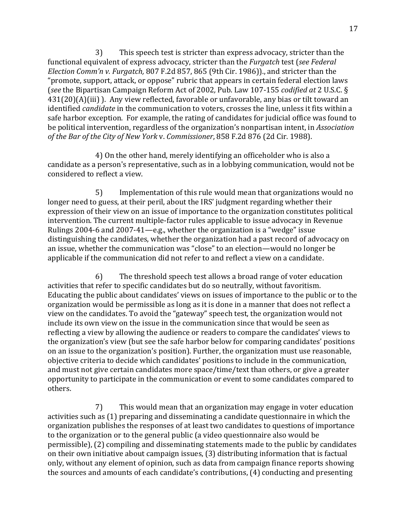$3$  This speech test is stricter than express advocacy, stricter than the functional equivalent of express advocacy, stricter than the *Furgatch* test (*see Federal Election Comm'n v. Furgatch,* 807 F.2d 857, 865 (9th Cir. 1986))., and stricter than the "promote, support, attack, or oppose" rubric that appears in certain federal election laws (*see* the Bipartisan Campaign Reform Act of 2002, Pub. Law 107-155 *codified at* 2 U.S.C. § 431(20)(A)(iii) ). Any view reflected, favorable or unfavorable, any bias or tilt toward an identified *candidate* in the communication to voters, crosses the line, unless it fits within a safe harbor exception. For example, the rating of candidates for judicial office was found to be political intervention, regardless of the organization's nonpartisan intent, in *Association of the Bar of the City of New York v. Commissioner*, 858 F.2d 876 (2d Cir. 1988).

4) On the other hand, merely identifying an officeholder who is also a candidate as a person's representative, such as in a lobbying communication, would not be considered to reflect a view.

5) Implementation of this rule would mean that organizations would no longer need to guess, at their peril, about the IRS' judgment regarding whether their expression of their view on an issue of importance to the organization constitutes political intervention. The current multiple-factor rules applicable to issue advocacy in Revenue Rulings 2004-6 and 2007-41—e.g., whether the organization is a "wedge" issue distinguishing the candidates, whether the organization had a past record of advocacy on an issue, whether the communication was "close" to an election—would no longer be applicable if the communication did not refer to and reflect a view on a candidate.

 $6$  The threshold speech test allows a broad range of voter education activities that refer to specific candidates but do so neutrally, without favoritism. Educating the public about candidates' views on issues of importance to the public or to the organization would be permissible as long as it is done in a manner that does not reflect a view on the candidates. To avoid the "gateway" speech test, the organization would not include its own view on the issue in the communication since that would be seen as reflecting a view by allowing the audience or readers to compare the candidates' views to the organization's view (but see the safe harbor below for comparing candidates' positions on an issue to the organization's position). Further, the organization must use reasonable, objective criteria to decide which candidates' positions to include in the communication, and must not give certain candidates more space/time/text than others, or give a greater opportunity to participate in the communication or event to some candidates compared to others.

7) This would mean that an organization may engage in voter education activities such as (1) preparing and disseminating a candidate questionnaire in which the organization publishes the responses of at least two candidates to questions of importance to the organization or to the general public (a video questionnaire also would be permissible), (2) compiling and disseminating statements made to the public by candidates on their own initiative about campaign issues, (3) distributing information that is factual only, without any element of opinion, such as data from campaign finance reports showing the sources and amounts of each candidate's contributions, (4) conducting and presenting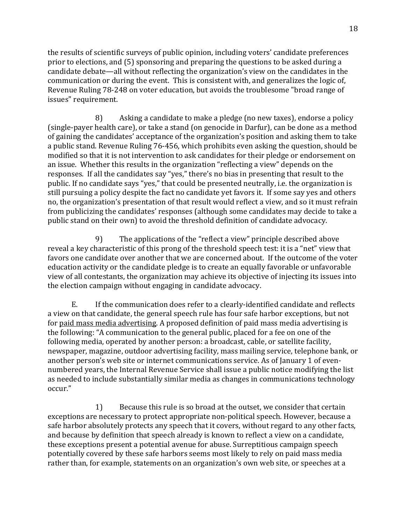the results of scientific surveys of public opinion, including voters' candidate preferences prior to elections, and (5) sponsoring and preparing the questions to be asked during a candidate debate—all without reflecting the organization's view on the candidates in the communication or during the event. This is consistent with, and generalizes the logic of, Revenue Ruling 78-248 on voter education, but avoids the troublesome "broad range of issues" requirement.

8) Asking a candidate to make a pledge (no new taxes), endorse a policy (single-payer health care), or take a stand (on genocide in Darfur), can be done as a method of gaining the candidates' acceptance of the organization's position and asking them to take a public stand. Revenue Ruling 76-456, which prohibits even asking the question, should be modified so that it is not intervention to ask candidates for their pledge or endorsement on an issue. Whether this results in the organization "reflecting a view" depends on the responses. If all the candidates say "yes," there's no bias in presenting that result to the public. If no candidate says "yes," that could be presented neutrally, i.e. the organization is still pursuing a policy despite the fact no candidate yet favors it. If some say yes and others no, the organization's presentation of that result would reflect a view, and so it must refrain from publicizing the candidates' responses (although some candidates may decide to take a public stand on their own) to avoid the threshold definition of candidate advocacy.

9) The applications of the "reflect a view" principle described above reveal a key characteristic of this prong of the threshold speech test: it is a "net" view that favors one candidate over another that we are concerned about. If the outcome of the voter education activity or the candidate pledge is to create an equally favorable or unfavorable view of all contestants, the organization may achieve its objective of injecting its issues into the election campaign without engaging in candidate advocacy.

E. If the communication does refer to a clearly-identified candidate and reflects a view on that candidate, the general speech rule has four safe harbor exceptions, but not for paid mass media advertising. A proposed definition of paid mass media advertising is the following: "A communication to the general public, placed for a fee on one of the following media, operated by another person: a broadcast, cable, or satellite facility, newspaper, magazine, outdoor advertising facility, mass mailing service, telephone bank, or another person's web site or internet communications service. As of January 1 of evennumbered years, the Internal Revenue Service shall issue a public notice modifying the list as needed to include substantially similar media as changes in communications technology occur."

1) Because this rule is so broad at the outset, we consider that certain exceptions are necessary to protect appropriate non-political speech. However, because a safe harbor absolutely protects any speech that it covers, without regard to any other facts, and because by definition that speech already is known to reflect a view on a candidate, these exceptions present a potential avenue for abuse. Surreptitious campaign speech potentially covered by these safe harbors seems most likely to rely on paid mass media rather than, for example, statements on an organization's own web site, or speeches at a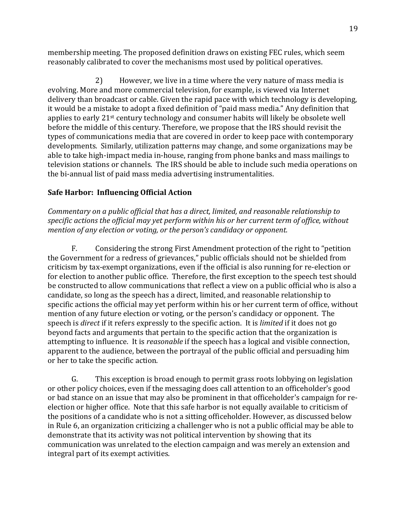membership meeting. The proposed definition draws on existing FEC rules, which seem reasonably calibrated to cover the mechanisms most used by political operatives.

2) However, we live in a time where the very nature of mass media is evolving. More and more commercial television, for example, is viewed via Internet delivery than broadcast or cable. Given the rapid pace with which technology is developing, it would be a mistake to adopt a fixed definition of "paid mass media." Any definition that applies to early 21<sup>st</sup> century technology and consumer habits will likely be obsolete well before the middle of this century. Therefore, we propose that the IRS should revisit the types of communications media that are covered in order to keep pace with contemporary developments. Similarly, utilization patterns may change, and some organizations may be able to take high-impact media in-house, ranging from phone banks and mass mailings to television stations or channels. The IRS should be able to include such media operations on the bi-annual list of paid mass media advertising instrumentalities.

# **Safe Harbor: Influencing Official Action**

*Commentary on a public official that has a direct, limited, and reasonable relationship to* specific actions the official may yet perform within his or her current term of office, without *mention of any election or voting, or the person's candidacy or opponent.* 

F. Considering the strong First Amendment protection of the right to "petition" the Government for a redress of grievances," public officials should not be shielded from criticism by tax-exempt organizations, even if the official is also running for re-election or for election to another public office. Therefore, the first exception to the speech test should be constructed to allow communications that reflect a view on a public official who is also a candidate, so long as the speech has a direct, limited, and reasonable relationship to specific actions the official may yet perform within his or her current term of office, without mention of any future election or voting, or the person's candidacy or opponent. The speech is *direct* if it refers expressly to the specific action. It is *limited* if it does not go beyond facts and arguments that pertain to the specific action that the organization is attempting to influence. It is *reasonable* if the speech has a logical and visible connection, apparent to the audience, between the portrayal of the public official and persuading him or her to take the specific action.

G. This exception is broad enough to permit grass roots lobbying on legislation or other policy choices, even if the messaging does call attention to an officeholder's good or bad stance on an issue that may also be prominent in that officeholder's campaign for reelection or higher office. Note that this safe harbor is not equally available to criticism of the positions of a candidate who is not a sitting officeholder. However, as discussed below in Rule 6, an organization criticizing a challenger who is not a public official may be able to demonstrate that its activity was not political intervention by showing that its communication was unrelated to the election campaign and was merely an extension and integral part of its exempt activities.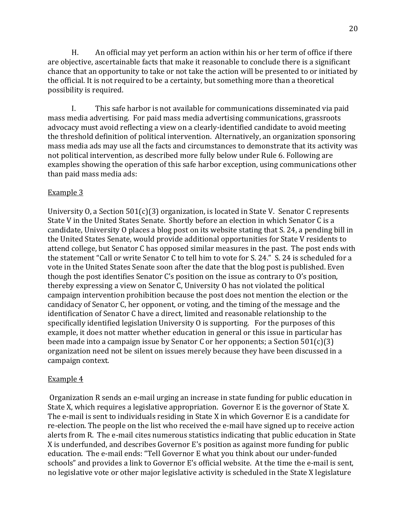H. An official may yet perform an action within his or her term of office if there are objective, ascertainable facts that make it reasonable to conclude there is a significant chance that an opportunity to take or not take the action will be presented to or initiated by the official. It is not required to be a certainty, but something more than a theoretical possibility is required.

I. This safe harbor is not available for communications disseminated via paid mass media advertising. For paid mass media advertising communications, grassroots advocacy must avoid reflecting a view on a clearly-identified candidate to avoid meeting the threshold definition of political intervention. Alternatively, an organization sponsoring mass media ads may use all the facts and circumstances to demonstrate that its activity was not political intervention, as described more fully below under Rule 6. Following are examples showing the operation of this safe harbor exception, using communications other than paid mass media ads:

# Example 3

University O, a Section  $501(c)(3)$  organization, is located in State V. Senator C represents State V in the United States Senate. Shortly before an election in which Senator C is a candidate, University O places a blog post on its website stating that S. 24, a pending bill in the United States Senate, would provide additional opportunities for State V residents to attend college, but Senator C has opposed similar measures in the past. The post ends with the statement "Call or write Senator C to tell him to vote for S. 24." S. 24 is scheduled for a vote in the United States Senate soon after the date that the blog post is published. Even though the post identifies Senator C's position on the issue as contrary to O's position, thereby expressing a view on Senator C, University O has not violated the political campaign intervention prohibition because the post does not mention the election or the candidacy of Senator C, her opponent, or voting, and the timing of the message and the identification of Senator C have a direct, limited and reasonable relationship to the specifically identified legislation University O is supporting. For the purposes of this example, it does not matter whether education in general or this issue in particular has been made into a campaign issue by Senator C or her opponents; a Section  $501(c)(3)$ organization need not be silent on issues merely because they have been discussed in a campaign context.

#### Example 4

Organization R sends an e-mail urging an increase in state funding for public education in State X, which requires a legislative appropriation. Governor E is the governor of State X. The e-mail is sent to individuals residing in State X in which Governor E is a candidate for re-election. The people on the list who received the e-mail have signed up to receive action alerts from R. The e-mail cites numerous statistics indicating that public education in State X is underfunded, and describes Governor E's position as against more funding for public education. The e-mail ends: "Tell Governor E what you think about our under-funded schools" and provides a link to Governor E's official website. At the time the e-mail is sent, no legislative vote or other major legislative activity is scheduled in the State X legislature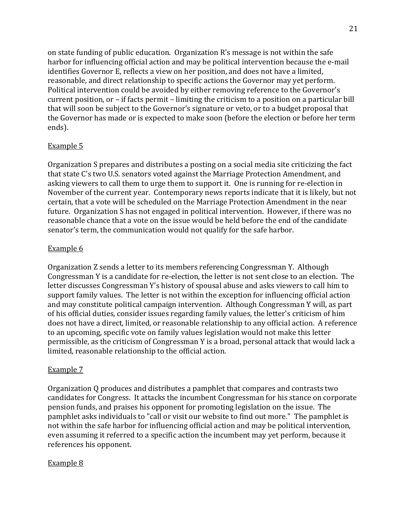on state funding of public education. Organization  $R$ 's message is not within the safe harbor for influencing official action and may be political intervention because the e-mail identifies Governor E, reflects a view on her position, and does not have a limited, reasonable, and direct relationship to specific actions the Governor may yet perform. Political intervention could be avoided by either removing reference to the Governor's current position, or – if facts permit – limiting the criticism to a position on a particular bill that will soon be subject to the Governor's signature or veto, or to a budget proposal that the Governor has made or is expected to make soon (before the election or before her term ends).

### Example 5

Organization S prepares and distributes a posting on a social media site criticizing the fact that state C's two U.S. senators voted against the Marriage Protection Amendment, and asking viewers to call them to urge them to support it. One is running for re-election in November of the current year. Contemporary news reports indicate that it is likely, but not certain, that a vote will be scheduled on the Marriage Protection Amendment in the near future. Organization S has not engaged in political intervention. However, if there was no reasonable chance that a vote on the issue would be held before the end of the candidate senator's term, the communication would not qualify for the safe harbor.

#### Example 6

Organization Z sends a letter to its members referencing Congressman Y. Although Congressman Y is a candidate for re-election, the letter is not sent close to an election. The letter discusses Congressman Y's history of spousal abuse and asks viewers to call him to support family values. The letter is not within the exception for influencing official action and may constitute political campaign intervention. Although Congressman Y will, as part of his official duties, consider issues regarding family values, the letter's criticism of him does not have a direct, limited, or reasonable relationship to any official action. A reference to an upcoming, specific vote on family values legislation would not make this letter permissible, as the criticism of Congressman Y is a broad, personal attack that would lack a limited, reasonable relationship to the official action.

#### Example 7

Organization O produces and distributes a pamphlet that compares and contrasts two candidates for Congress. It attacks the incumbent Congressman for his stance on corporate pension funds, and praises his opponent for promoting legislation on the issue. The pamphlet asks individuals to "call or visit our website to find out more." The pamphlet is not within the safe harbor for influencing official action and may be political intervention, even assuming it referred to a specific action the incumbent may yet perform, because it references his opponent.

#### Example 8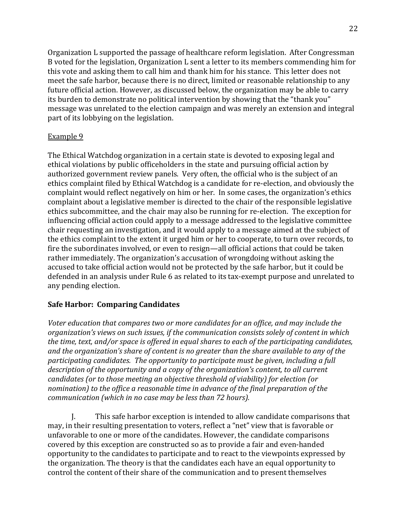Organization L supported the passage of healthcare reform legislation. After Congressman B voted for the legislation, Organization L sent a letter to its members commending him for this vote and asking them to call him and thank him for his stance. This letter does not meet the safe harbor, because there is no direct, limited or reasonable relationship to any future official action. However, as discussed below, the organization may be able to carry its burden to demonstrate no political intervention by showing that the "thank you" message was unrelated to the election campaign and was merely an extension and integral part of its lobbying on the legislation.

#### Example 9

The Ethical Watchdog organization in a certain state is devoted to exposing legal and ethical violations by public officeholders in the state and pursuing official action by authorized government review panels. Very often, the official who is the subject of an ethics complaint filed by Ethical Watchdog is a candidate for re-election, and obviously the complaint would reflect negatively on him or her. In some cases, the organization's ethics complaint about a legislative member is directed to the chair of the responsible legislative ethics subcommittee, and the chair may also be running for re-election. The exception for influencing official action could apply to a message addressed to the legislative committee chair requesting an investigation, and it would apply to a message aimed at the subject of the ethics complaint to the extent it urged him or her to cooperate, to turn over records, to fire the subordinates involved, or even to resign—all official actions that could be taken rather immediately. The organization's accusation of wrongdoing without asking the accused to take official action would not be protected by the safe harbor, but it could be defended in an analysis under Rule 6 as related to its tax-exempt purpose and unrelated to any pending election.

# **Safe Harbor: Comparing Candidates**

Voter education that compares two or more candidates for an office, and may include the *organization's views on such issues, if the communication consists solely of content in which* the time, text, and/or space is offered in equal shares to each of the participating candidates, *and the organization's share of content is no greater than the share available to any of the* participating candidates. The opportunity to participate must be given, including a full description of the opportunity and a copy of the organization's content, to all current *candidates (or to those meeting an objective threshold of viability) for election (or nomination)* to the office a reasonable time in advance of the final preparation of the *communication (which in no case may be less than 72 hours).* 

J. This safe harbor exception is intended to allow candidate comparisons that may, in their resulting presentation to voters, reflect a "net" view that is favorable or unfavorable to one or more of the candidates. However, the candidate comparisons covered by this exception are constructed so as to provide a fair and even-handed opportunity to the candidates to participate and to react to the viewpoints expressed by the organization. The theory is that the candidates each have an equal opportunity to control the content of their share of the communication and to present themselves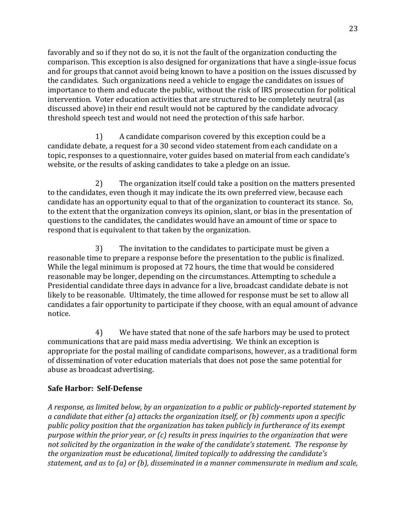favorably and so if they not do so, it is not the fault of the organization conducting the comparison. This exception is also designed for organizations that have a single-issue focus and for groups that cannot avoid being known to have a position on the issues discussed by the candidates. Such organizations need a vehicle to engage the candidates on issues of importance to them and educate the public, without the risk of IRS prosecution for political intervention. Voter education activities that are structured to be completely neutral (as discussed above) in their end result would not be captured by the candidate advocacy threshold speech test and would not need the protection of this safe harbor.

1) A candidate comparison covered by this exception could be a candidate debate, a request for a 30 second video statement from each candidate on a topic, responses to a questionnaire, voter guides based on material from each candidate's website, or the results of asking candidates to take a pledge on an issue.

2) The organization itself could take a position on the matters presented to the candidates, even though it may indicate the its own preferred view, because each candidate has an opportunity equal to that of the organization to counteract its stance. So, to the extent that the organization conveys its opinion, slant, or bias in the presentation of questions to the candidates, the candidates would have an amount of time or space to respond that is equivalent to that taken by the organization.

3) The invitation to the candidates to participate must be given a reasonable time to prepare a response before the presentation to the public is finalized. While the legal minimum is proposed at 72 hours, the time that would be considered reasonable may be longer, depending on the circumstances. Attempting to schedule a Presidential candidate three days in advance for a live, broadcast candidate debate is not likely to be reasonable. Ultimately, the time allowed for response must be set to allow all candidates a fair opportunity to participate if they choose, with an equal amount of advance notice.!

4) We have stated that none of the safe harbors may be used to protect communications that are paid mass media advertising. We think an exception is appropriate for the postal mailing of candidate comparisons, however, as a traditional form of dissemination of voter education materials that does not pose the same potential for abuse as broadcast advertising.

# **Safe Harbor: Self-Defense**

A response, as limited below, by an organization to a public or publicly-reported statement by *a* candidate that either (a) attacks the organization itself, or (b) comments upon a specific public policy position that the organization has taken publicly in furtherance of its exempt purpose within the prior year, or (c) results in press inquiries to the organization that were not solicited by the organization in the wake of the candidate's statement. The response by the organization must be educational, limited topically to addressing the candidate's *statement, and as to (a) or (b), disseminated in a manner commensurate in medium and scale,*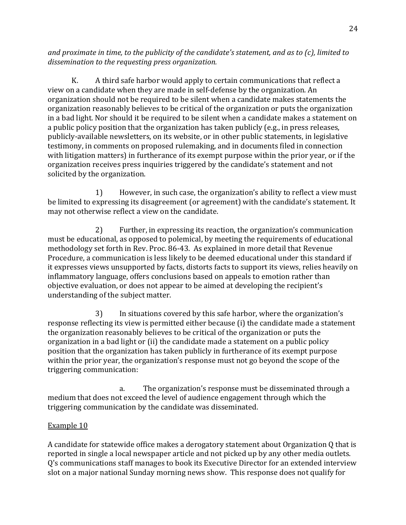*and proximate in time, to the publicity of the candidate's statement, and as to (c), limited to* dissemination to the requesting press organization.

K. A third safe harbor would apply to certain communications that reflect a view on a candidate when they are made in self-defense by the organization. An organization should not be required to be silent when a candidate makes statements the organization reasonably believes to be critical of the organization or puts the organization in a bad light. Nor should it be required to be silent when a candidate makes a statement on a public policy position that the organization has taken publicly (e.g., in press releases, publicly-available newsletters, on its website, or in other public statements, in legislative testimony, in comments on proposed rulemaking, and in documents filed in connection with litigation matters) in furtherance of its exempt purpose within the prior year, or if the organization receives press inquiries triggered by the candidate's statement and not solicited by the organization.

1) However, in such case, the organization's ability to reflect a view must be limited to expressing its disagreement (or agreement) with the candidate's statement. It may not otherwise reflect a view on the candidate.

2) Further, in expressing its reaction, the organization's communication must be educational, as opposed to polemical, by meeting the requirements of educational methodology set forth in Rev. Proc. 86-43. As explained in more detail that Revenue Procedure, a communication is less likely to be deemed educational under this standard if it expresses views unsupported by facts, distorts facts to support its views, relies heavily on inflammatory language, offers conclusions based on appeals to emotion rather than objective evaluation, or does not appear to be aimed at developing the recipient's understanding of the subject matter.

3) In situations covered by this safe harbor, where the organization's response reflecting its view is permitted either because (i) the candidate made a statement the organization reasonably believes to be critical of the organization or puts the organization in a bad light or (ii) the candidate made a statement on a public policy position that the organization has taken publicly in furtherance of its exempt purpose within the prior year, the organization's response must not go beyond the scope of the triggering communication:

a. The organization's response must be disseminated through a medium that does not exceed the level of audience engagement through which the triggering communication by the candidate was disseminated.

# Example 10

A candidate for statewide office makes a derogatory statement about Organization Q that is reported in single a local newspaper article and not picked up by any other media outlets. Q's communications staff manages to book its Executive Director for an extended interview slot on a major national Sunday morning news show. This response does not qualify for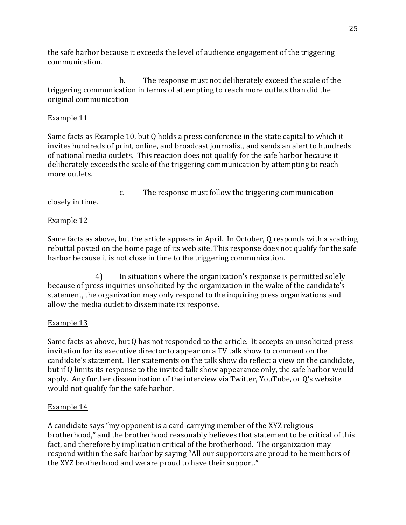the safe harbor because it exceeds the level of audience engagement of the triggering communication.!

b. The response must not deliberately exceed the scale of the triggering communication in terms of attempting to reach more outlets than did the original communication

# Example 11

Same facts as Example 10, but Q holds a press conference in the state capital to which it invites hundreds of print, online, and broadcast journalist, and sends an alert to hundreds of national media outlets. This reaction does not qualify for the safe harbor because it deliberately exceeds the scale of the triggering communication by attempting to reach more outlets.

c. The response must follow the triggering communication

closely in time.

# Example 12

Same facts as above, but the article appears in April. In October, Q responds with a scathing rebuttal posted on the home page of its web site. This response does not qualify for the safe harbor because it is not close in time to the triggering communication.

4) In situations where the organization's response is permitted solely because of press inquiries unsolicited by the organization in the wake of the candidate's statement, the organization may only respond to the inquiring press organizations and allow the media outlet to disseminate its response.

# Example 13

Same facts as above, but Q has not responded to the article. It accepts an unsolicited press invitation for its executive director to appear on a TV talk show to comment on the candidate's statement. Her statements on the talk show do reflect a view on the candidate, but if Q limits its response to the invited talk show appearance only, the safe harbor would apply. Any further dissemination of the interview via Twitter, YouTube, or Q's website would not qualify for the safe harbor.

# Example 14

A candidate says "my opponent is a card-carrying member of the XYZ religious brotherhood," and the brotherhood reasonably believes that statement to be critical of this fact, and therefore by implication critical of the brotherhood. The organization may respond within the safe harbor by saying "All our supporters are proud to be members of the XYZ brotherhood and we are proud to have their support."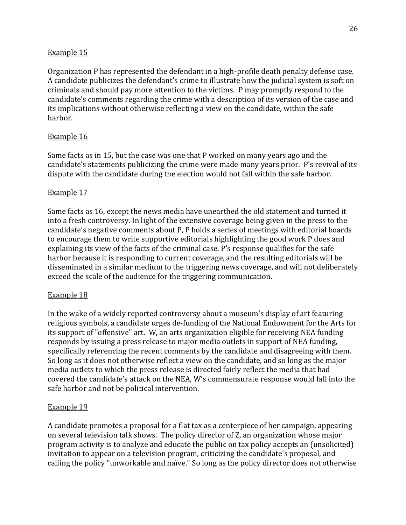#### Example 15

Organization P has represented the defendant in a high-profile death penalty defense case. A candidate publicizes the defendant's crime to illustrate how the judicial system is soft on criminals and should pay more attention to the victims. P may promptly respond to the candidate's comments regarding the crime with a description of its version of the case and its implications without otherwise reflecting a view on the candidate, within the safe harbor.

### Example 16

Same facts as in 15, but the case was one that P worked on many years ago and the candidate's statements publicizing the crime were made many years prior. P's revival of its dispute with the candidate during the election would not fall within the safe harbor.

### Example 17

Same facts as 16, except the news media have unearthed the old statement and turned it into a fresh controversy. In light of the extensive coverage being given in the press to the candidate's negative comments about P, P holds a series of meetings with editorial boards to encourage them to write supportive editorials highlighting the good work P does and explaining its view of the facts of the criminal case. P's response qualifies for the safe harbor because it is responding to current coverage, and the resulting editorials will be disseminated in a similar medium to the triggering news coverage, and will not deliberately exceed the scale of the audience for the triggering communication.

#### Example 18

In the wake of a widely reported controversy about a museum's display of art featuring religious symbols, a candidate urges de-funding of the National Endowment for the Arts for its support of "offensive" art. W, an arts organization eligible for receiving NEA funding responds by issuing a press release to major media outlets in support of NEA funding, specifically referencing the recent comments by the candidate and disagreeing with them. So long as it does not otherwise reflect a view on the candidate, and so long as the major media outlets to which the press release is directed fairly reflect the media that had covered the candidate's attack on the NEA, W's commensurate response would fall into the safe harbor and not be political intervention.

#### Example 19

A candidate promotes a proposal for a flat tax as a centerpiece of her campaign, appearing on several television talk shows. The policy director of Z, an organization whose major program activity is to analyze and educate the public on tax policy accepts an (unsolicited) invitation to appear on a television program, criticizing the candidate's proposal, and calling the policy "unworkable and naïve." So long as the policy director does not otherwise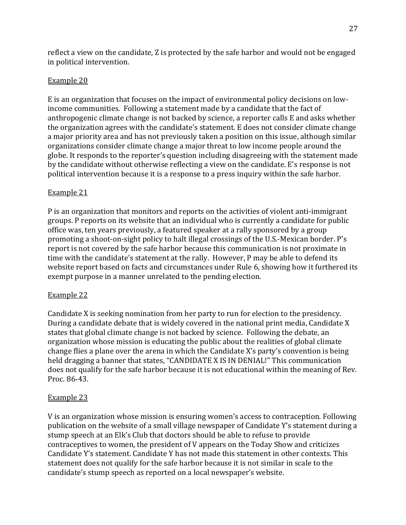reflect a view on the candidate, Z is protected by the safe harbor and would not be engaged in political intervention.

#### Example 20

E is an organization that focuses on the impact of environmental policy decisions on lowincome communities. Following a statement made by a candidate that the fact of anthropogenic climate change is not backed by science, a reporter calls E and asks whether the organization agrees with the candidate's statement. E does not consider climate change a major priority area and has not previously taken a position on this issue, although similar organizations consider climate change a major threat to low income people around the globe. It responds to the reporter's question including disagreeing with the statement made by the candidate without otherwise reflecting a view on the candidate. E's response is not political intervention because it is a response to a press inquiry within the safe harbor.

### Example 21

P is an organization that monitors and reports on the activities of violent anti-immigrant groups. P reports on its website that an individual who is currently a candidate for public office was, ten years previously, a featured speaker at a rally sponsored by a group promoting a shoot-on-sight policy to halt illegal crossings of the U.S.-Mexican border. P's report is not covered by the safe harbor because this communication is not proximate in time with the candidate's statement at the rally. However, P may be able to defend its website report based on facts and circumstances under Rule 6, showing how it furthered its exempt purpose in a manner unrelated to the pending election.

#### Example 22

Candidate X is seeking nomination from her party to run for election to the presidency. During a candidate debate that is widely covered in the national print media, Candidate X states that global climate change is not backed by science. Following the debate, an organization whose mission is educating the public about the realities of global climate change flies a plane over the arena in which the Candidate X's party's convention is being held dragging a banner that states, "CANDIDATE X IS IN DENIAL!" This communication does not qualify for the safe harbor because it is not educational within the meaning of Rev. Proc. 86-43.

#### Example 23

V is an organization whose mission is ensuring women's access to contraception. Following publication on the website of a small village newspaper of Candidate Y's statement during a stump speech at an Elk's Club that doctors should be able to refuse to provide contraceptives to women, the president of V appears on the Today Show and criticizes Candidate Y's statement. Candidate Y has not made this statement in other contexts. This statement does not qualify for the safe harbor because it is not similar in scale to the candidate's stump speech as reported on a local newspaper's website.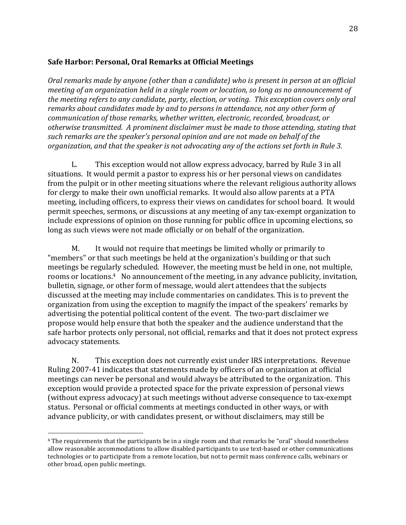#### Safe Harbor: Personal, Oral Remarks at Official Meetings

*Oral remarks made by anyone (other than a candidate) who is present in person at an official meeting of an organization held in a single room or location, so long as no announcement of the meeting refers to any candidate, party, election, or voting. This exception covers only oral remarks about candidates made by and to persons in attendance, not any other form of*  $communication$  of those remarks, whether written, electronic, recorded, broadcast, or *otherwise transmitted. A prominent disclaimer must be made to those attending, stating that such remarks are the speaker's personal opinion and are not made on behalf of the organization, and that the speaker is not advocating any of the actions set forth in Rule 3.* 

L. This exception would not allow express advocacy, barred by Rule 3 in all situations. It would permit a pastor to express his or her personal views on candidates from the pulpit or in other meeting situations where the relevant religious authority allows for clergy to make their own unofficial remarks. It would also allow parents at a PTA meeting, including officers, to express their views on candidates for school board. It would permit speeches, sermons, or discussions at any meeting of any tax-exempt organization to include expressions of opinion on those running for public office in upcoming elections, so long as such views were not made officially or on behalf of the organization.

M. It would not require that meetings be limited wholly or primarily to "members" or that such meetings be held at the organization's building or that such meetings be regularly scheduled. However, the meeting must be held in one, not multiple, rooms or locations.<sup>4</sup> No announcement of the meeting, in any advance publicity, invitation, bulletin, signage, or other form of message, would alert attendees that the subjects discussed at the meeting may include commentaries on candidates. This is to prevent the organization from using the exception to magnify the impact of the speakers' remarks by advertising the potential political content of the event. The two-part disclaimer we propose would help ensure that both the speaker and the audience understand that the safe harbor protects only personal, not official, remarks and that it does not protect express advocacy statements.

N. This exception does not currently exist under IRS interpretations. Revenue Ruling 2007-41 indicates that statements made by officers of an organization at official meetings can never be personal and would always be attributed to the organization. This exception would provide a protected space for the private expression of personal views (without express advocacy) at such meetings without adverse consequence to tax-exempt status. Personal or official comments at meetings conducted in other ways, or with advance publicity, or with candidates present, or without disclaimers, may still be

!!!!!!!!!!!!!!!!!!!!!!!!!!!!!!!!!!!!!!!!!!!!!!!!!!!!!!!

<sup>&</sup>lt;sup>4</sup> The requirements that the participants be in a single room and that remarks be "oral" should nonetheless allow reasonable accommodations to allow disabled participants to use text-based or other communications technologies or to participate from a remote location, but not to permit mass conference calls, webinars or other broad, open public meetings.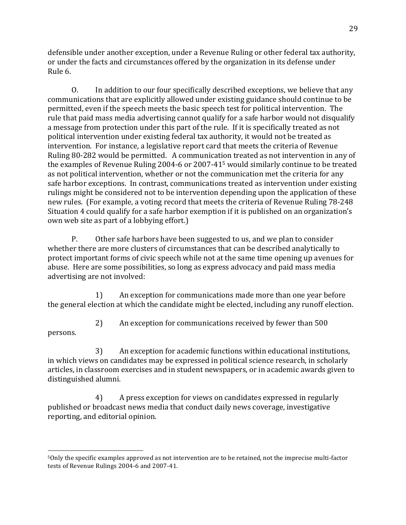defensible under another exception, under a Revenue Ruling or other federal tax authority, or under the facts and circumstances offered by the organization in its defense under Rule 6.

O. In addition to our four specifically described exceptions, we believe that any communications that are explicitly allowed under existing guidance should continue to be permitted, even if the speech meets the basic speech test for political intervention. The rule that paid mass media advertising cannot qualify for a safe harbor would not disqualify a message from protection under this part of the rule. If it is specifically treated as not political intervention under existing federal tax authority, it would not be treated as intervention. For instance, a legislative report card that meets the criteria of Revenue Ruling 80-282 would be permitted. A communication treated as not intervention in any of the examples of Revenue Ruling 2004-6 or 2007-41<sup>5</sup> would similarly continue to be treated as not political intervention, whether or not the communication met the criteria for any safe harbor exceptions. In contrast, communications treated as intervention under existing rulings might be considered not to be intervention depending upon the application of these new rules. (For example, a voting record that meets the criteria of Revenue Ruling 78-248 Situation 4 could qualify for a safe harbor exemption if it is published on an organization's own web site as part of a lobbying effort.)

P. Other safe harbors have been suggested to us, and we plan to consider whether there are more clusters of circumstances that can be described analytically to protect important forms of civic speech while not at the same time opening up avenues for abuse. Here are some possibilities, so long as express advocacy and paid mass media advertising are not involved:

1) An exception for communications made more than one year before the general election at which the candidate might be elected, including any runoff election.

2) An exception for communications received by fewer than 500

persons.

!!!!!!!!!!!!!!!!!!!!!!!!!!!!!!!!!!!!!!!!!!!!!!!!!!!!!!!

3) An exception for academic functions within educational institutions, in which views on candidates may be expressed in political science research, in scholarly articles, in classroom exercises and in student newspapers, or in academic awards given to distinguished alumni.

4) A press exception for views on candidates expressed in regularly published or broadcast news media that conduct daily news coverage, investigative reporting, and editorial opinion.

<sup>&</sup>lt;sup>5</sup>Only the specific examples approved as not intervention are to be retained, not the imprecise multi-factor tests of Revenue Rulings 2004-6 and 2007-41.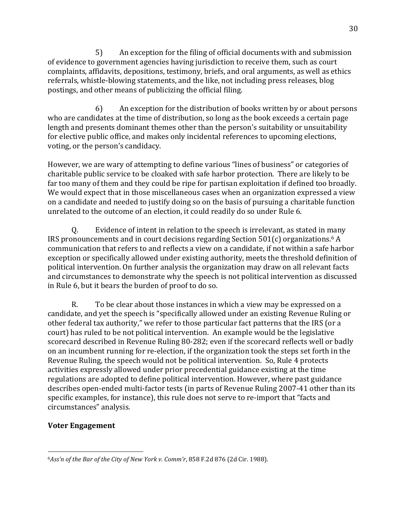5) An exception for the filing of official documents with and submission of evidence to government agencies having jurisdiction to receive them, such as court complaints, affidavits, depositions, testimony, briefs, and oral arguments, as well as ethics referrals, whistle-blowing statements, and the like, not including press releases, blog postings, and other means of publicizing the official filing.

 $6$  An exception for the distribution of books written by or about persons who are candidates at the time of distribution, so long as the book exceeds a certain page length and presents dominant themes other than the person's suitability or unsuitability for elective public office, and makes only incidental references to upcoming elections, voting, or the person's candidacy.

However, we are wary of attempting to define various "lines of business" or categories of charitable public service to be cloaked with safe harbor protection. There are likely to be far too many of them and they could be ripe for partisan exploitation if defined too broadly. We would expect that in those miscellaneous cases when an organization expressed a view on a candidate and needed to justify doing so on the basis of pursuing a charitable function unrelated to the outcome of an election, it could readily do so under Rule 6.

Q. Evidence of intent in relation to the speech is irrelevant, as stated in many IRS pronouncements and in court decisions regarding Section  $501(c)$  organizations.<sup>6</sup> A communication that refers to and reflects a view on a candidate, if not within a safe harbor exception or specifically allowed under existing authority, meets the threshold definition of political intervention. On further analysis the organization may draw on all relevant facts and circumstances to demonstrate why the speech is not political intervention as discussed in Rule 6, but it bears the burden of proof to do so.

R. To be clear about those instances in which a view may be expressed on a candidate, and yet the speech is "specifically allowed under an existing Revenue Ruling or other federal tax authority," we refer to those particular fact patterns that the IRS (or a court) has ruled to be not political intervention. An example would be the legislative scorecard described in Revenue Ruling 80-282; even if the scorecard reflects well or badly on an incumbent running for re-election, if the organization took the steps set forth in the Revenue Ruling, the speech would not be political intervention. So, Rule 4 protects activities expressly allowed under prior precedential guidance existing at the time regulations are adopted to define political intervention. However, where past guidance describes open-ended multi-factor tests (in parts of Revenue Ruling 2007-41 other than its specific examples, for instance), this rule does not serve to re-import that "facts and circumstances" analysis.

#### **Voter!Engagement**

!!!!!!!!!!!!!!!!!!!!!!!!!!!!!!!!!!!!!!!!!!!!!!!!!!!!!!!

<sup>6</sup>Ass'n of the Bar of the City of New York v. Comm'r, 858 F.2d 876 (2d Cir. 1988).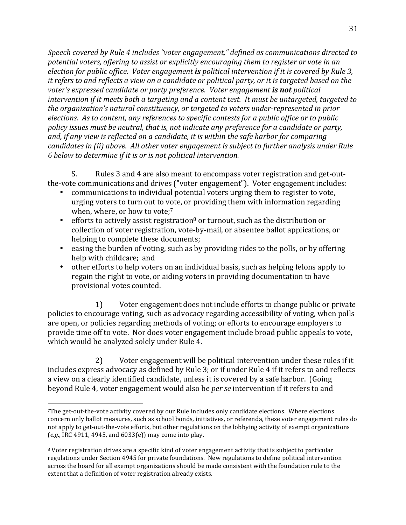Speech covered by Rule 4 includes "voter engagement," defined as communications directed to potential voters, offering to assist or explicitly encouraging them to register or vote in an *election for public office. Voter engagement is political intervention if it is covered by Rule 3, it refers to and reflects a view on a candidate or political party, or it is targeted based on the voter's expressed candidate or party preference. Voter engagement is not political intervention if it meets both a targeting and a content test. It must be untargeted, targeted to* the organization's natural constituency, or targeted to voters under-represented in prior *elections. As to content, any references to specific contests for a public office or to public* policy issues must be neutral, that is, not indicate any preference for a candidate or party, and, if any view is reflected on a candidate, it is within the safe harbor for comparing  $c$ andidates in (ii) above. All other voter engagement is subject to further analysis under Rule  $6$  below to determine if it is or is not political intervention.

S. Rules 3 and 4 are also meant to encompass voter registration and get-outthe-vote communications and drives ("voter engagement"). Voter engagement includes:

- communications to individual potential voters urging them to register to vote, urging voters to turn out to vote, or providing them with information regarding when, where, or how to vote; $7$
- efforts to actively assist registration<sup>8</sup> or turnout, such as the distribution or collection of voter registration, vote-by-mail, or absentee ballot applications, or helping to complete these documents;
- easing the burden of voting, such as by providing rides to the polls, or by offering help with childcare; and
- other efforts to help voters on an individual basis, such as helping felons apply to regain the right to vote, or aiding voters in providing documentation to have provisional votes counted.

1) Voter engagement does not include efforts to change public or private policies to encourage voting, such as advocacy regarding accessibility of voting, when polls are open, or policies regarding methods of voting; or efforts to encourage employers to provide time off to vote. Nor does voter engagement include broad public appeals to vote, which would be analyzed solely under Rule 4.

2) Voter engagement will be political intervention under these rules if it includes express advocacy as defined by Rule 3; or if under Rule 4 if it refers to and reflects a view on a clearly identified candidate, unless it is covered by a safe harbor. (Going beyond Rule 4, voter engagement would also be *per se* intervention if it refers to and

!!!!!!!!!!!!!!!!!!!!!!!!!!!!!!!!!!!!!!!!!!!!!!!!!!!!!!!

 $7$ The get-out-the-vote activity covered by our Rule includes only candidate elections. Where elections concern only ballot measures, such as school bonds, initiatives, or referenda, these voter engagement rules do not apply to get-out-the-vote efforts, but other regulations on the lobbying activity of exempt organizations  $(e.g., \text{IRC }4911, 4945, \text{and }6033(e))$  may come into play.

<sup>&</sup>lt;sup>8</sup> Voter registration drives are a specific kind of voter engagement activity that is subject to particular regulations under Section 4945 for private foundations. New regulations to define political intervention across the board for all exempt organizations should be made consistent with the foundation rule to the extent that a definition of voter registration already exists.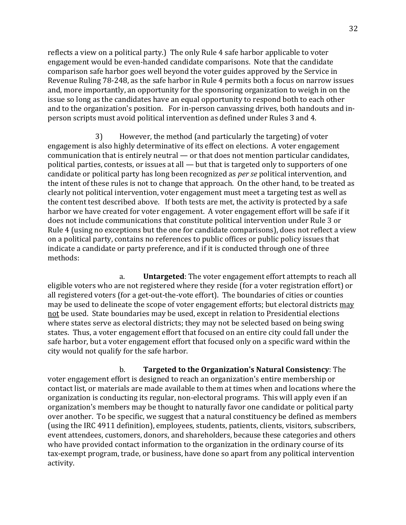reflects a view on a political party.) The only Rule 4 safe harbor applicable to voter engagement would be even-handed candidate comparisons. Note that the candidate comparison safe harbor goes well beyond the voter guides approved by the Service in Revenue Ruling 78-248, as the safe harbor in Rule 4 permits both a focus on narrow issues and, more importantly, an opportunity for the sponsoring organization to weigh in on the issue so long as the candidates have an equal opportunity to respond both to each other and to the organization's position. For in-person canvassing drives, both handouts and inperson scripts must avoid political intervention as defined under Rules 3 and 4.

3) However, the method (and particularly the targeting) of voter engagement is also highly determinative of its effect on elections. A voter engagement communication that is entirely neutral — or that does not mention particular candidates, political parties, contests, or issues at all  $-$  but that is targeted only to supporters of one candidate or political party has long been recognized as *per se* political intervention, and the intent of these rules is not to change that approach. On the other hand, to be treated as clearly not political intervention, voter engagement must meet a targeting test as well as the content test described above. If both tests are met, the activity is protected by a safe. harbor we have created for voter engagement. A voter engagement effort will be safe if it does not include communications that constitute political intervention under Rule 3 or Rule 4 (using no exceptions but the one for candidate comparisons), does not reflect a view on a political party, contains no references to public offices or public policy issues that indicate a candidate or party preference, and if it is conducted through one of three methods:

a. **Untargeted**: The voter engagement effort attempts to reach all eligible voters who are not registered where they reside (for a voter registration effort) or all registered voters (for a get-out-the-vote effort). The boundaries of cities or counties may be used to delineate the scope of voter engagement efforts; but electoral districts may not be used. State boundaries may be used, except in relation to Presidential elections where states serve as electoral districts; they may not be selected based on being swing states. Thus, a voter engagement effort that focused on an entire city could fall under the safe harbor, but a voter engagement effort that focused only on a specific ward within the city would not qualify for the safe harbor.

b. **Targeted to the Organization's Natural Consistency**: The voter engagement effort is designed to reach an organization's entire membership or contact list, or materials are made available to them at times when and locations where the organization is conducting its regular, non-electoral programs. This will apply even if an organization's members may be thought to naturally favor one candidate or political party over another. To be specific, we suggest that a natural constituency be defined as members (using the IRC 4911 definition), employees, students, patients, clients, visitors, subscribers, event attendees, customers, donors, and shareholders, because these categories and others who have provided contact information to the organization in the ordinary course of its tax-exempt program, trade, or business, have done so apart from any political intervention activity.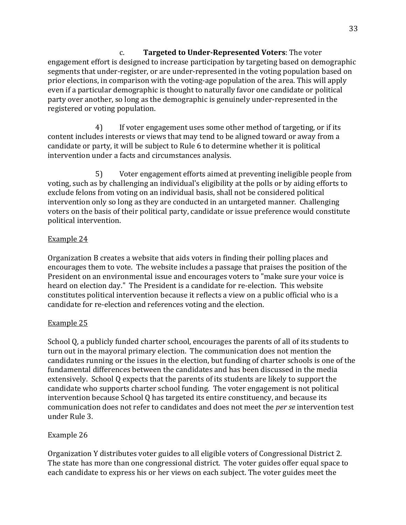c. **Targeted to Under-Represented Voters**: The voter engagement effort is designed to increase participation by targeting based on demographic segments that under-register, or are under-represented in the voting population based on prior elections, in comparison with the voting-age population of the area. This will apply even if a particular demographic is thought to naturally favor one candidate or political party over another, so long as the demographic is genuinely under-represented in the registered or voting population.

4) If voter engagement uses some other method of targeting, or if its content includes interests or views that may tend to be aligned toward or away from a candidate or party, it will be subject to Rule 6 to determine whether it is political intervention under a facts and circumstances analysis.

5) Voter engagement efforts aimed at preventing ineligible people from voting, such as by challenging an individual's eligibility at the polls or by aiding efforts to exclude felons from voting on an individual basis, shall not be considered political intervention only so long as they are conducted in an untargeted manner. Challenging voters on the basis of their political party, candidate or issue preference would constitute political intervention.

### Example 24

Organization B creates a website that aids voters in finding their polling places and encourages them to vote. The website includes a passage that praises the position of the President on an environmental issue and encourages voters to "make sure your voice is heard on election day." The President is a candidate for re-election. This website constitutes political intervention because it reflects a view on a public official who is a candidate for re-election and references voting and the election.

#### Example 25

School Q, a publicly funded charter school, encourages the parents of all of its students to turn out in the mayoral primary election. The communication does not mention the candidates running or the issues in the election, but funding of charter schools is one of the fundamental differences between the candidates and has been discussed in the media extensively. School Q expects that the parents of its students are likely to support the candidate who supports charter school funding. The voter engagement is not political intervention because School Q has targeted its entire constituency, and because its communication does not refer to candidates and does not meet the *per se* intervention test under Rule 3.

# Example 26

Organization Y distributes voter guides to all eligible voters of Congressional District 2. The state has more than one congressional district. The voter guides offer equal space to each candidate to express his or her views on each subject. The voter guides meet the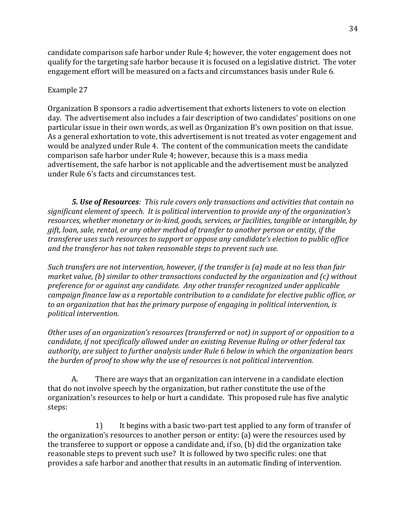candidate comparison safe harbor under Rule 4; however, the voter engagement does not qualify for the targeting safe harbor because it is focused on a legislative district. The voter engagement effort will be measured on a facts and circumstances basis under Rule 6.

#### Example 27

Organization B sponsors a radio advertisement that exhorts listeners to vote on election day. The advertisement also includes a fair description of two candidates' positions on one particular issue in their own words, as well as Organization B's own position on that issue. As a general exhortation to vote, this advertisement is not treated as voter engagement and would be analyzed under Rule 4. The content of the communication meets the candidate comparison safe harbor under Rule 4; however, because this is a mass media advertisement, the safe harbor is not applicable and the advertisement must be analyzed under Rule 6's facts and circumstances test.

**5. Use of Resources**: This rule covers only transactions and activities that contain no significant element of speech. It is political intervention to provide any of the organization's resources, whether monetary or in-kind, goods, services, or facilities, tangible or intangible, by  $g$ ift, loan, sale, rental, or any other method of transfer to another person or entity, if the *transferee uses such resources to support or oppose any candidate's election to public office and the transferor has not taken reasonable steps to prevent such use.* 

*Such transfers are not intervention, however, if the transfer is (a) made at no less than fair market value, (b) similar to other transactions conducted by the organization and (c) without preference for or against any candidate. Any other transfer recognized under applicable* campaign finance law as a reportable contribution to a candidate for elective public office, or to an organization that has the primary purpose of engaging in political intervention, is  $p$ olitical intervention.

*Other uses of an organization's resources (transferred or not) in support of or opposition to a candidate, if not specifically allowed under an existing Revenue Ruling or other federal tax* authority, are subject to further analysis under Rule 6 below in which the organization bears *the burden of proof to show why the use of resources is not political intervention.* 

A. There are ways that an organization can intervene in a candidate election that do not involve speech by the organization, but rather constitute the use of the organization's resources to help or hurt a candidate. This proposed rule has five analytic steps:

1) It begins with a basic two-part test applied to any form of transfer of the organization's resources to another person or entity: (a) were the resources used by the transferee to support or oppose a candidate and, if so, (b) did the organization take reasonable steps to prevent such use? It is followed by two specific rules: one that provides a safe harbor and another that results in an automatic finding of intervention.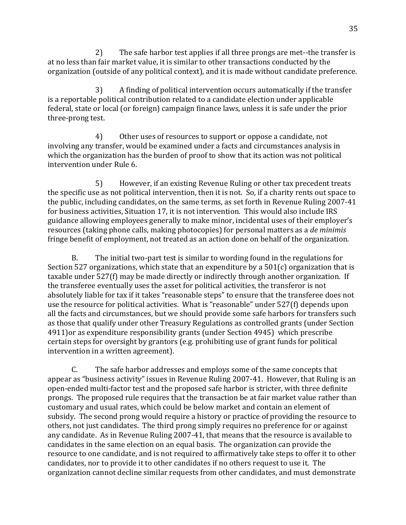2) The safe harbor test applies if all three prongs are met--the transfer is at no less than fair market value, it is similar to other transactions conducted by the organization (outside of any political context), and it is made without candidate preference.

3) A finding of political intervention occurs automatically if the transfer is a reportable political contribution related to a candidate election under applicable federal, state or local (or foreign) campaign finance laws, unless it is safe under the prior three-prong test.

4) Other uses of resources to support or oppose a candidate, not involving any transfer, would be examined under a facts and circumstances analysis in which the organization has the burden of proof to show that its action was not political intervention under Rule 6.

5) However, if an existing Revenue Ruling or other tax precedent treats the specific use as not political intervention, then it is not. So, if a charity rents out space to the public, including candidates, on the same terms, as set forth in Revenue Ruling 2007-41 for business activities, Situation 17, it is not intervention. This would also include IRS guidance allowing employees generally to make minor, incidental uses of their employer's resources (taking phone calls, making photocopies) for personal matters as a *de minimis* fringe benefit of employment, not treated as an action done on behalf of the organization.

B. The initial two-part test is similar to wording found in the regulations for Section 527 organizations, which state that an expenditure by a  $501(c)$  organization that is taxable under 527(f) may be made directly or indirectly through another organization. If the transferee eventually uses the asset for political activities, the transferor is not absolutely liable for tax if it takes "reasonable steps" to ensure that the transferee does not use the resource for political activities. What is "reasonable" under 527(f) depends upon all the facts and circumstances, but we should provide some safe harbors for transfers such as those that qualify under other Treasury Regulations as controlled grants (under Section 4911) or as expenditure responsibility grants (under Section 4945) which prescribe certain steps for oversight by grantors (e.g. prohibiting use of grant funds for political intervention in a written agreement).

C. The safe harbor addresses and employs some of the same concepts that appear as "business activity" issues in Revenue Ruling 2007-41. However, that Ruling is an open-ended multi-factor test and the proposed safe harbor is stricter, with three definite prongs. The proposed rule requires that the transaction be at fair market value rather than customary and usual rates, which could be below market and contain an element of subsidy. The second prong would require a history or practice of providing the resource to others, not just candidates. The third prong simply requires no preference for or against any candidate. As in Revenue Ruling 2007-41, that means that the resource is available to candidates in the same election on an equal basis. The organization can provide the resource to one candidate, and is not required to affirmatively take steps to offer it to other candidates, nor to provide it to other candidates if no others request to use it. The organization cannot decline similar requests from other candidates, and must demonstrate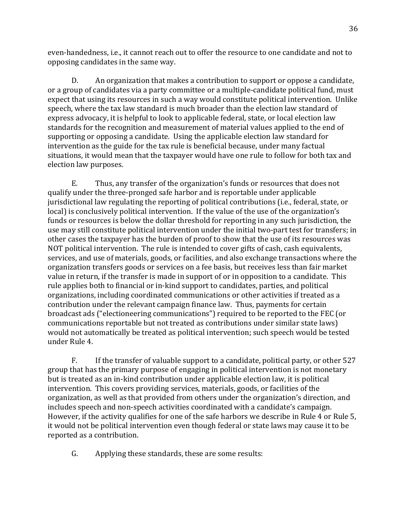even-handedness, i.e., it cannot reach out to offer the resource to one candidate and not to opposing candidates in the same way.

D. An organization that makes a contribution to support or oppose a candidate, or a group of candidates via a party committee or a multiple-candidate political fund, must expect that using its resources in such a way would constitute political intervention. Unlike speech, where the tax law standard is much broader than the election law standard of express advocacy, it is helpful to look to applicable federal, state, or local election law standards for the recognition and measurement of material values applied to the end of supporting or opposing a candidate. Using the applicable election law standard for intervention as the guide for the tax rule is beneficial because, under many factual situations, it would mean that the taxpayer would have one rule to follow for both tax and election law purposes.

E. Thus, any transfer of the organization's funds or resources that does not qualify under the three-pronged safe harbor and is reportable under applicable jurisdictional law regulating the reporting of political contributions (i.e., federal, state, or local) is conclusively political intervention. If the value of the use of the organization's funds or resources is below the dollar threshold for reporting in any such jurisdiction, the use may still constitute political intervention under the initial two-part test for transfers; in other cases the taxpayer has the burden of proof to show that the use of its resources was NOT political intervention. The rule is intended to cover gifts of cash, cash equivalents, services, and use of materials, goods, or facilities, and also exchange transactions where the organization transfers goods or services on a fee basis, but receives less than fair market value in return, if the transfer is made in support of or in opposition to a candidate. This rule applies both to financial or in-kind support to candidates, parties, and political organizations, including coordinated communications or other activities if treated as a contribution under the relevant campaign finance law. Thus, payments for certain broadcast ads ("electioneering communications") required to be reported to the FEC (or communications reportable but not treated as contributions under similar state laws) would not automatically be treated as political intervention: such speech would be tested under Rule 4.

F. If the transfer of valuable support to a candidate, political party, or other  $527$ group that has the primary purpose of engaging in political intervention is not monetary but is treated as an in-kind contribution under applicable election law, it is political intervention. This covers providing services, materials, goods, or facilities of the organization, as well as that provided from others under the organization's direction, and includes speech and non-speech activities coordinated with a candidate's campaign. However, if the activity qualifies for one of the safe harbors we describe in Rule 4 or Rule 5, it would not be political intervention even though federal or state laws may cause it to be reported as a contribution.

G. Applying these standards, these are some results: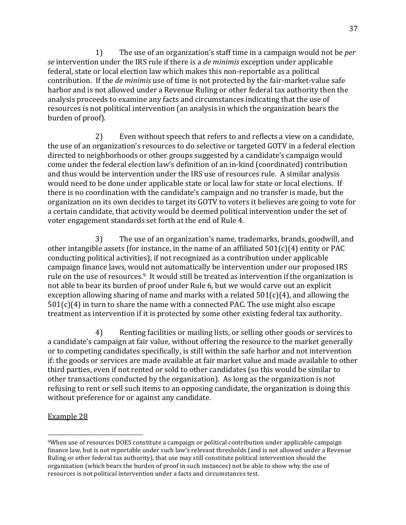1) The use of an organization's staff time in a campaign would not be *per se* intervention under the IRS rule if there is a *de minimis* exception under applicable federal, state or local election law which makes this non-reportable as a political contribution. If the *de minimis* use of time is not protected by the fair-market-value safe harbor and is not allowed under a Revenue Ruling or other federal tax authority then the analysis proceeds to examine any facts and circumstances indicating that the use of resources is not political intervention (an analysis in which the organization bears the burden of proof).

2) Even without speech that refers to and reflects a view on a candidate, the use of an organization's resources to do selective or targeted GOTV in a federal election directed to neighborhoods or other groups suggested by a candidate's campaign would come under the federal election law's definition of an in-kind (coordinated) contribution and thus would be intervention under the IRS use of resources rule. A similar analysis would need to be done under applicable state or local law for state or local elections. If there is no coordination with the candidate's campaign and no transfer is made, but the organization on its own decides to target its GOTV to voters it believes are going to vote for a certain candidate, that activity would be deemed political intervention under the set of voter engagement standards set forth at the end of Rule 4.

3) The use of an organization's name, trademarks, brands, goodwill, and other intangible assets (for instance, in the name of an affiliated  $501(c)(4)$  entity or PAC conducting political activities), if not recognized as a contribution under applicable campaign finance laws, would not automatically be intervention under our proposed IRS rule on the use of resources.<sup>9</sup> It would still be treated as intervention if the organization is not able to bear its burden of proof under Rule 6, but we would carve out an explicit exception allowing sharing of name and marks with a related  $501(c)(4)$ , and allowing the  $501(c)(4)$  in turn to share the name with a connected PAC. The use might also escape treatment as intervention if it is protected by some other existing federal tax authority.

4) Renting facilities or mailing lists, or selling other goods or services to  $\blacksquare$ a candidate's campaign at fair value, without offering the resource to the market generally or to competing candidates specifically, is still within the safe harbor and not intervention if: the goods or services are made available at fair market value and made available to other third parties, even if not rented or sold to other candidates (so this would be similar to other transactions conducted by the organization). As long as the organization is not refusing to rent or sell such items to an opposing candidate, the organization is doing this without preference for or against any candidate.

#### Example 28

!!!!!!!!!!!!!!!!!!!!!!!!!!!!!!!!!!!!!!!!!!!!!!!!!!!!!!!

<sup>&</sup>lt;sup>9</sup>When use of resources DOES constitute a campaign or political contribution under applicable campaign finance law, but is not reportable under such law's relevant thresholds (and is not allowed under a Revenue Ruling or other federal tax authority), that use may still constitute political intervention should the organization (which bears the burden of proof in such instances) not be able to show why the use of resources is not political intervention under a facts and circumstances test.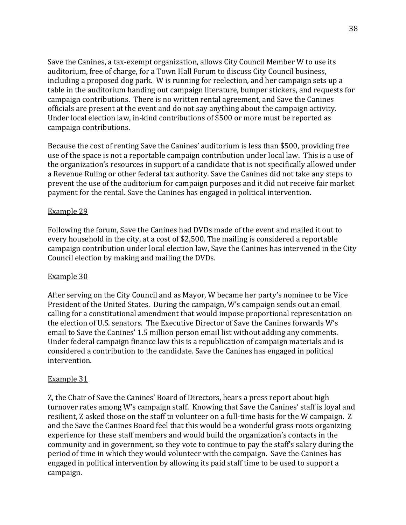Save the Canines, a tax-exempt organization, allows City Council Member W to use its auditorium, free of charge, for a Town Hall Forum to discuss City Council business, including a proposed dog park. W is running for reelection, and her campaign sets up a table in the auditorium handing out campaign literature, bumper stickers, and requests for campaign contributions. There is no written rental agreement, and Save the Canines officials are present at the event and do not say anything about the campaign activity. Under local election law, in-kind contributions of \$500 or more must be reported as campaign contributions.

Because the cost of renting Save the Canines' auditorium is less than \$500, providing free use of the space is not a reportable campaign contribution under local law. This is a use of the organization's resources in support of a candidate that is not specifically allowed under a Revenue Ruling or other federal tax authority. Save the Canines did not take any steps to prevent the use of the auditorium for campaign purposes and it did not receive fair market payment for the rental. Save the Canines has engaged in political intervention.

#### Example 29

Following the forum, Save the Canines had DVDs made of the event and mailed it out to every household in the city, at a cost of \$2,500. The mailing is considered a reportable campaign contribution under local election law, Save the Canines has intervened in the City Council election by making and mailing the DVDs.

#### Example 30

After serving on the City Council and as Mayor, W became her party's nominee to be Vice President of the United States. During the campaign, W's campaign sends out an email calling for a constitutional amendment that would impose proportional representation on the election of U.S. senators. The Executive Director of Save the Canines forwards W's email to Save the Canines' 1.5 million person email list without adding any comments. Under federal campaign finance law this is a republication of campaign materials and is considered a contribution to the candidate. Save the Canines has engaged in political intervention.

#### Example 31

Z, the Chair of Save the Canines' Board of Directors, hears a press report about high turnover rates among W's campaign staff. Knowing that Save the Canines' staff is loyal and resilient, Z asked those on the staff to volunteer on a full-time basis for the W campaign. Z and the Save the Canines Board feel that this would be a wonderful grass roots organizing experience for these staff members and would build the organization's contacts in the community and in government, so they vote to continue to pay the staff's salary during the period of time in which they would volunteer with the campaign. Save the Canines has engaged in political intervention by allowing its paid staff time to be used to support a campaign.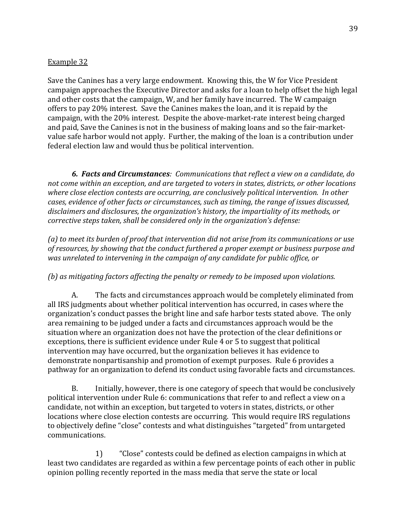#### Example 32

Save the Canines has a very large endowment. Knowing this, the W for Vice President campaign approaches the Executive Director and asks for a loan to help offset the high legal and other costs that the campaign, W, and her family have incurred. The W campaign offers to pay 20% interest. Save the Canines makes the loan, and it is repaid by the campaign, with the 20% interest. Despite the above-market-rate interest being charged and paid, Save the Canines is not in the business of making loans and so the fair-marketvalue safe harbor would not apply. Further, the making of the loan is a contribution under federal election law and would thus be political intervention.

**6. Facts and Circumstances**: Communications that reflect a view on a candidate, do not come within an exception, and are targeted to voters in states, districts, or other locations where close election contests are occurring, are conclusively political intervention. In other  $cases, evidence of other facts or circumstances, such as timing, the range of issues discussed,$ disclaimers and disclosures, the organization's history, the impartiality of its methods, or *corrective steps taken, shall be considered only in the organization's defense:* 

(a) to meet its burden of proof that intervention did not arise from its communications or use of resources, by showing that the conduct furthered a proper exempt or business purpose and *was unrelated to intervening in the campaign of any candidate for public office, or* 

#### *(b)* as mitigating factors affecting the penalty or remedy to be imposed upon violations.

A. The facts and circumstances approach would be completely eliminated from all IRS judgments about whether political intervention has occurred, in cases where the organization's conduct passes the bright line and safe harbor tests stated above. The only area remaining to be judged under a facts and circumstances approach would be the situation where an organization does not have the protection of the clear definitions or exceptions, there is sufficient evidence under Rule 4 or 5 to suggest that political intervention may have occurred, but the organization believes it has evidence to demonstrate nonpartisanship and promotion of exempt purposes. Rule 6 provides a pathway for an organization to defend its conduct using favorable facts and circumstances.

B. Initially, however, there is one category of speech that would be conclusively political intervention under Rule 6: communications that refer to and reflect a view on a candidate, not within an exception, but targeted to voters in states, districts, or other locations where close election contests are occurring. This would require IRS regulations to objectively define "close" contests and what distinguishes "targeted" from untargeted communications.

1) "Close" contests could be defined as election campaigns in which at least two candidates are regarded as within a few percentage points of each other in public opinion polling recently reported in the mass media that serve the state or local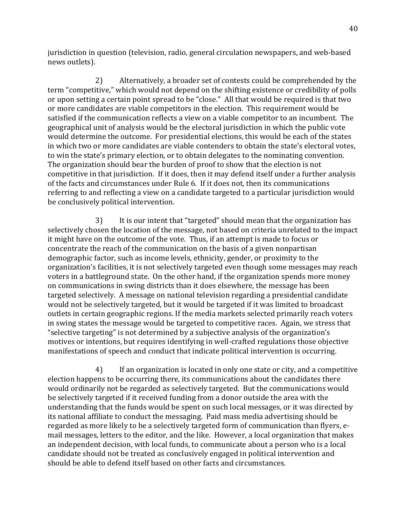jurisdiction in question (television, radio, general circulation newspapers, and web-based news outlets).

2) Alternatively, a broader set of contests could be comprehended by the term "competitive," which would not depend on the shifting existence or credibility of polls or upon setting a certain point spread to be "close." All that would be required is that two or more candidates are viable competitors in the election. This requirement would be satisfied if the communication reflects a view on a viable competitor to an incumbent. The geographical unit of analysis would be the electoral jurisdiction in which the public vote would determine the outcome. For presidential elections, this would be each of the states in which two or more candidates are viable contenders to obtain the state's electoral votes, to win the state's primary election, or to obtain delegates to the nominating convention. The organization should bear the burden of proof to show that the election is not competitive in that jurisdiction. If it does, then it may defend itself under a further analysis of the facts and circumstances under Rule 6. If it does not, then its communications referring to and reflecting a view on a candidate targeted to a particular jurisdiction would be conclusively political intervention.

3) It is our intent that "targeted" should mean that the organization has selectively chosen the location of the message, not based on criteria unrelated to the impact it might have on the outcome of the vote. Thus, if an attempt is made to focus or concentrate the reach of the communication on the basis of a given nonpartisan demographic factor, such as income levels, ethnicity, gender, or proximity to the organization's facilities, it is not selectively targeted even though some messages may reach voters in a battleground state. On the other hand, if the organization spends more money on communications in swing districts than it does elsewhere, the message has been targeted selectively. A message on national television regarding a presidential candidate would not be selectively targeted, but it would be targeted if it was limited to broadcast outlets in certain geographic regions. If the media markets selected primarily reach voters in swing states the message would be targeted to competitive races. Again, we stress that " selective targeting" is not determined by a subjective analysis of the organization's motives or intentions, but requires identifying in well-crafted regulations those objective manifestations of speech and conduct that indicate political intervention is occurring.

4) If an organization is located in only one state or city, and a competitive election happens to be occurring there, its communications about the candidates there would ordinarily not be regarded as selectively targeted. But the communications would be selectively targeted if it received funding from a donor outside the area with the understanding that the funds would be spent on such local messages, or it was directed by its national affiliate to conduct the messaging. Paid mass media advertising should be regarded as more likely to be a selectively targeted form of communication than flyers, email messages, letters to the editor, and the like. However, a local organization that makes an independent decision, with local funds, to communicate about a person who is a local candidate should not be treated as conclusively engaged in political intervention and should be able to defend itself based on other facts and circumstances.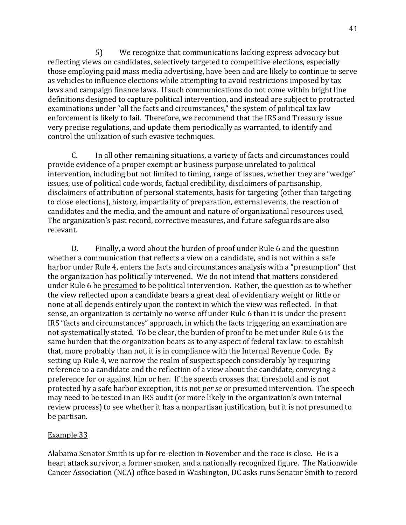5) We recognize that communications lacking express advocacy but reflecting views on candidates, selectively targeted to competitive elections, especially those employing paid mass media advertising, have been and are likely to continue to serve as vehicles to influence elections while attempting to avoid restrictions imposed by tax laws and campaign finance laws. If such communications do not come within bright line definitions designed to capture political intervention, and instead are subject to protracted examinations under "all the facts and circumstances," the system of political tax law enforcement is likely to fail. Therefore, we recommend that the IRS and Treasury issue very precise regulations, and update them periodically as warranted, to identify and control the utilization of such evasive techniques.

C. In all other remaining situations, a variety of facts and circumstances could provide evidence of a proper exempt or business purpose unrelated to political intervention, including but not limited to timing, range of issues, whether they are "wedge" issues, use of political code words, factual credibility, disclaimers of partisanship, disclaimers of attribution of personal statements, basis for targeting (other than targeting to close elections), history, impartiality of preparation, external events, the reaction of candidates and the media, and the amount and nature of organizational resources used. The organization's past record, corrective measures, and future safeguards are also relevant.

D. Finally, a word about the burden of proof under Rule 6 and the question whether a communication that reflects a view on a candidate, and is not within a safe harbor under Rule 4, enters the facts and circumstances analysis with a "presumption" that the organization has politically intervened. We do not intend that matters considered under Rule 6 be presumed to be political intervention. Rather, the question as to whether the view reflected upon a candidate bears a great deal of evidentiary weight or little or none at all depends entirely upon the context in which the view was reflected. In that sense, an organization is certainly no worse off under Rule 6 than it is under the present IRS "facts and circumstances" approach, in which the facts triggering an examination are not systematically stated. To be clear, the burden of proof to be met under Rule 6 is the same burden that the organization bears as to any aspect of federal tax law: to establish that, more probably than not, it is in compliance with the Internal Revenue Code. By setting up Rule 4, we narrow the realm of suspect speech considerably by requiring reference to a candidate and the reflection of a view about the candidate, conveying a preference for or against him or her. If the speech crosses that threshold and is not protected by a safe harbor exception, it is not *per se* or presumed intervention. The speech may need to be tested in an IRS audit (or more likely in the organization's own internal review process) to see whether it has a nonpartisan justification, but it is not presumed to be!partisan.

#### Example 33

Alabama Senator Smith is up for re-election in November and the race is close. He is a heart attack survivor, a former smoker, and a nationally recognized figure. The Nationwide Cancer Association (NCA) office based in Washington, DC asks runs Senator Smith to record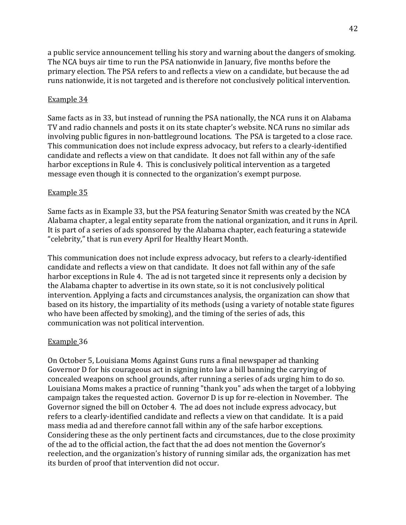a public service announcement telling his story and warning about the dangers of smoking. The NCA buys air time to run the PSA nationwide in January, five months before the primary election. The PSA refers to and reflects a view on a candidate, but because the ad runs nationwide, it is not targeted and is therefore not conclusively political intervention.

#### Example 34

Same facts as in 33, but instead of running the PSA nationally, the NCA runs it on Alabama TV and radio channels and posts it on its state chapter's website. NCA runs no similar ads involving public figures in non-battleground locations. The PSA is targeted to a close race. This communication does not include express advocacy, but refers to a clearly-identified candidate and reflects a view on that candidate. It does not fall within any of the safe harbor exceptions in Rule 4. This is conclusively political intervention as a targeted message even though it is connected to the organization's exempt purpose.

#### Example 35

Same facts as in Example 33, but the PSA featuring Senator Smith was created by the NCA Alabama chapter, a legal entity separate from the national organization, and it runs in April. It is part of a series of ads sponsored by the Alabama chapter, each featuring a statewide "celebrity," that is run every April for Healthy Heart Month.

This communication does not include express advocacy, but refers to a clearly-identified candidate and reflects a view on that candidate. It does not fall within any of the safe harbor exceptions in Rule 4. The ad is not targeted since it represents only a decision by the Alabama chapter to advertise in its own state, so it is not conclusively political intervention. Applying a facts and circumstances analysis, the organization can show that based on its history, the impartiality of its methods (using a variety of notable state figures who have been affected by smoking), and the timing of the series of ads, this communication was not political intervention.

#### Example 36

On October 5, Louisiana Moms Against Guns runs a final newspaper ad thanking Governor D for his courageous act in signing into law a bill banning the carrying of concealed weapons on school grounds, after running a series of ads urging him to do so. Louisiana Moms makes a practice of running "thank you" ads when the target of a lobbying campaign takes the requested action. Governor D is up for re-election in November. The Governor signed the bill on October 4. The ad does not include express advocacy, but refers to a clearly-identified candidate and reflects a view on that candidate. It is a paid mass media ad and therefore cannot fall within any of the safe harbor exceptions. Considering these as the only pertinent facts and circumstances, due to the close proximity of the ad to the official action, the fact that the ad does not mention the Governor's reelection, and the organization's history of running similar ads, the organization has met its burden of proof that intervention did not occur.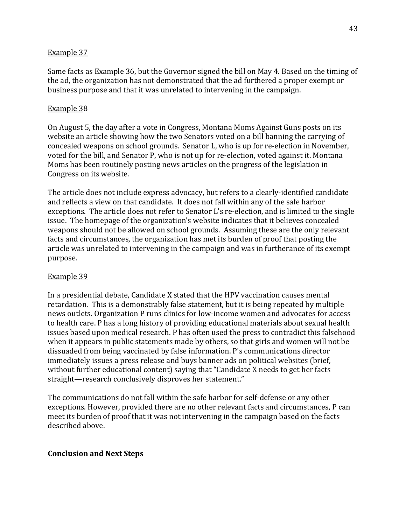#### Example 37

Same facts as Example 36, but the Governor signed the bill on May 4. Based on the timing of the ad, the organization has not demonstrated that the ad furthered a proper exempt or business purpose and that it was unrelated to intervening in the campaign.

#### Example 38

On August 5, the day after a vote in Congress, Montana Moms Against Guns posts on its website an article showing how the two Senators voted on a bill banning the carrying of concealed weapons on school grounds. Senator L, who is up for re-election in November, voted for the bill, and Senator P, who is not up for re-election, voted against it. Montana Moms has been routinely posting news articles on the progress of the legislation in Congress on its website.

The article does not include express advocacy, but refers to a clearly-identified candidate and reflects a view on that candidate. It does not fall within any of the safe harbor exceptions. The article does not refer to Senator L's re-election, and is limited to the single issue. The homepage of the organization's website indicates that it believes concealed weapons should not be allowed on school grounds. Assuming these are the only relevant facts and circumstances, the organization has met its burden of proof that posting the article was unrelated to intervening in the campaign and was in furtherance of its exempt purpose.

#### Example 39

In a presidential debate, Candidate X stated that the HPV vaccination causes mental retardation. This is a demonstrably false statement, but it is being repeated by multiple news outlets. Organization P runs clinics for low-income women and advocates for access to health care. P has a long history of providing educational materials about sexual health issues based upon medical research. P has often used the press to contradict this falsehood when it appears in public statements made by others, so that girls and women will not be dissuaded from being vaccinated by false information. P's communications director immediately issues a press release and buys banner ads on political websites (brief, without further educational content) saying that "Candidate X needs to get her facts straight—research conclusively disproves her statement."

The communications do not fall within the safe harbor for self-defense or any other exceptions. However, provided there are no other relevant facts and circumstances, P can meet its burden of proof that it was not intervening in the campaign based on the facts described above.

#### **Conclusion and Next Steps**